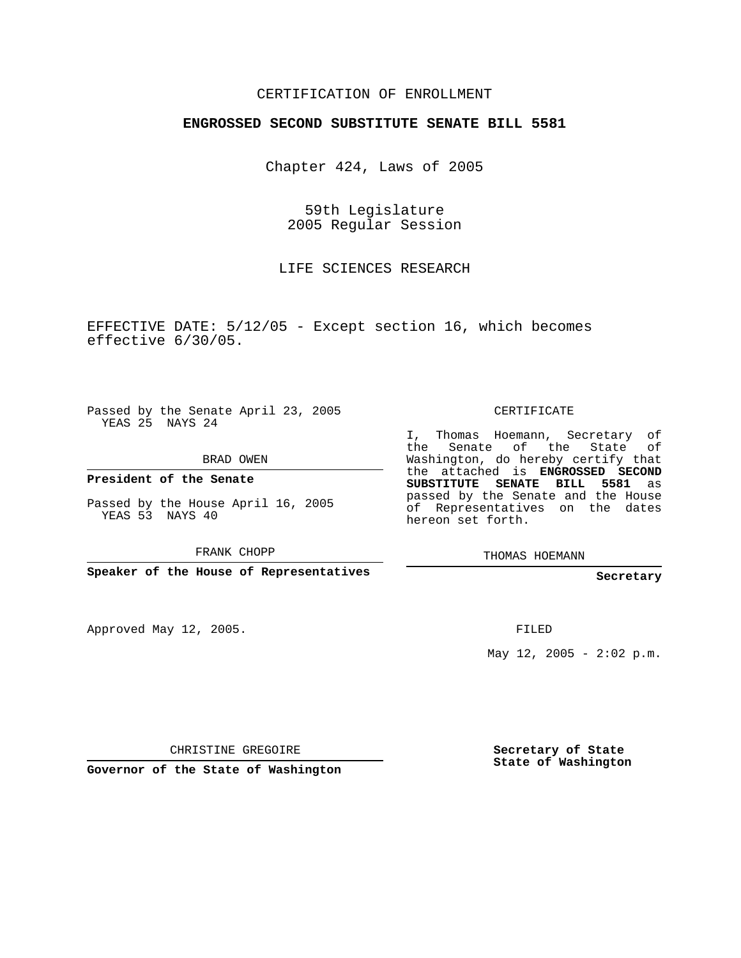### CERTIFICATION OF ENROLLMENT

#### **ENGROSSED SECOND SUBSTITUTE SENATE BILL 5581**

Chapter 424, Laws of 2005

59th Legislature 2005 Regular Session

LIFE SCIENCES RESEARCH

EFFECTIVE DATE: 5/12/05 - Except section 16, which becomes effective 6/30/05.

Passed by the Senate April 23, 2005 YEAS 25 NAYS 24

BRAD OWEN

**President of the Senate**

Passed by the House April 16, 2005 YEAS 53 NAYS 40

FRANK CHOPP

**Speaker of the House of Representatives**

Approved May 12, 2005.

CERTIFICATE

I, Thomas Hoemann, Secretary of the Senate of the State Washington, do hereby certify that the attached is **ENGROSSED SECOND SUBSTITUTE SENATE BILL 5581** as passed by the Senate and the House of Representatives on the dates hereon set forth.

THOMAS HOEMANN

**Secretary**

FILED

May  $12$ ,  $2005 - 2:02$  p.m.

CHRISTINE GREGOIRE

**Governor of the State of Washington**

**Secretary of State State of Washington**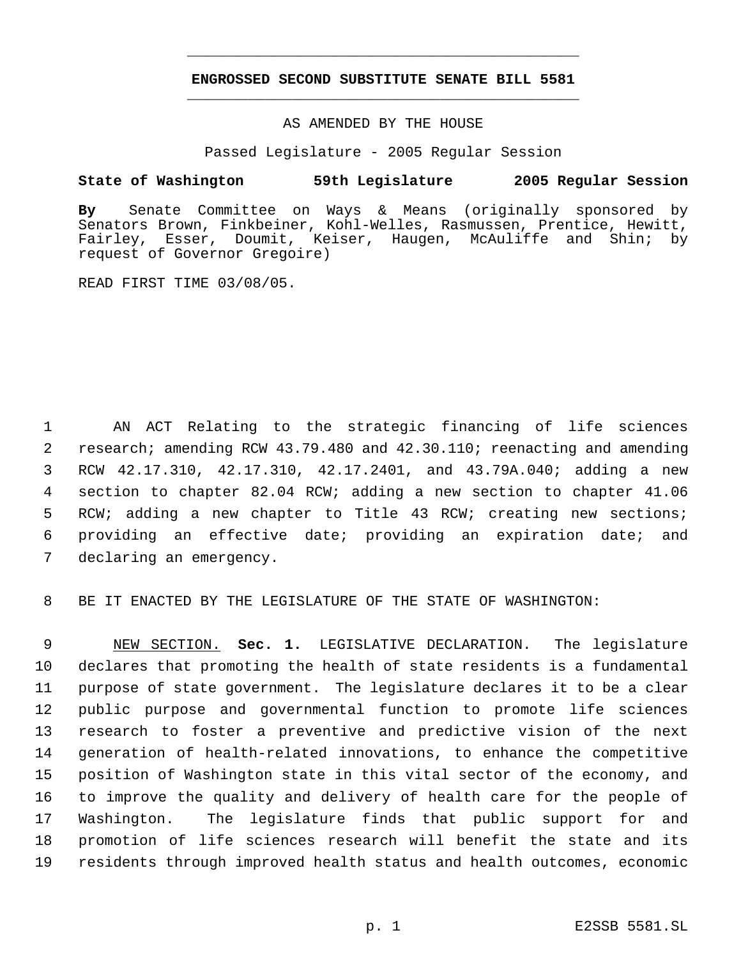# **ENGROSSED SECOND SUBSTITUTE SENATE BILL 5581** \_\_\_\_\_\_\_\_\_\_\_\_\_\_\_\_\_\_\_\_\_\_\_\_\_\_\_\_\_\_\_\_\_\_\_\_\_\_\_\_\_\_\_\_\_

\_\_\_\_\_\_\_\_\_\_\_\_\_\_\_\_\_\_\_\_\_\_\_\_\_\_\_\_\_\_\_\_\_\_\_\_\_\_\_\_\_\_\_\_\_

#### AS AMENDED BY THE HOUSE

Passed Legislature - 2005 Regular Session

### **State of Washington 59th Legislature 2005 Regular Session**

**By** Senate Committee on Ways & Means (originally sponsored by Senators Brown, Finkbeiner, Kohl-Welles, Rasmussen, Prentice, Hewitt, Fairley, Esser, Doumit, Keiser, Haugen, McAuliffe and Shin; by request of Governor Gregoire)

READ FIRST TIME 03/08/05.

 AN ACT Relating to the strategic financing of life sciences research; amending RCW 43.79.480 and 42.30.110; reenacting and amending RCW 42.17.310, 42.17.310, 42.17.2401, and 43.79A.040; adding a new section to chapter 82.04 RCW; adding a new section to chapter 41.06 RCW; adding a new chapter to Title 43 RCW; creating new sections; providing an effective date; providing an expiration date; and declaring an emergency.

BE IT ENACTED BY THE LEGISLATURE OF THE STATE OF WASHINGTON:

 NEW SECTION. **Sec. 1.** LEGISLATIVE DECLARATION. The legislature declares that promoting the health of state residents is a fundamental purpose of state government. The legislature declares it to be a clear public purpose and governmental function to promote life sciences research to foster a preventive and predictive vision of the next generation of health-related innovations, to enhance the competitive position of Washington state in this vital sector of the economy, and to improve the quality and delivery of health care for the people of Washington. The legislature finds that public support for and promotion of life sciences research will benefit the state and its residents through improved health status and health outcomes, economic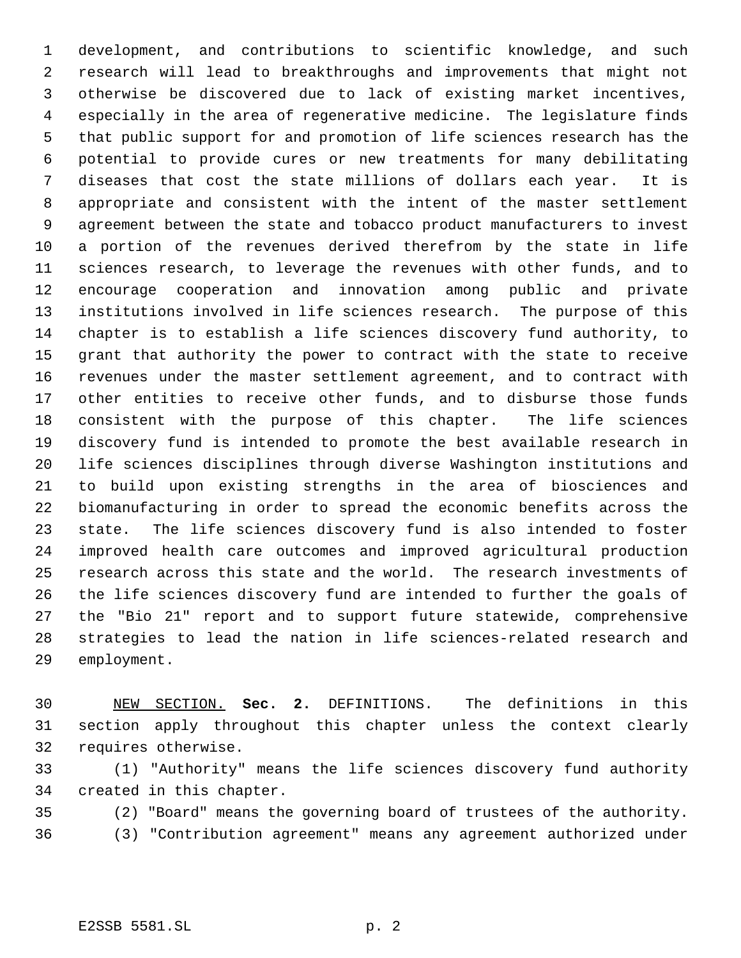development, and contributions to scientific knowledge, and such research will lead to breakthroughs and improvements that might not otherwise be discovered due to lack of existing market incentives, especially in the area of regenerative medicine. The legislature finds that public support for and promotion of life sciences research has the potential to provide cures or new treatments for many debilitating diseases that cost the state millions of dollars each year. It is appropriate and consistent with the intent of the master settlement agreement between the state and tobacco product manufacturers to invest a portion of the revenues derived therefrom by the state in life sciences research, to leverage the revenues with other funds, and to encourage cooperation and innovation among public and private institutions involved in life sciences research. The purpose of this chapter is to establish a life sciences discovery fund authority, to grant that authority the power to contract with the state to receive revenues under the master settlement agreement, and to contract with other entities to receive other funds, and to disburse those funds consistent with the purpose of this chapter. The life sciences discovery fund is intended to promote the best available research in life sciences disciplines through diverse Washington institutions and to build upon existing strengths in the area of biosciences and biomanufacturing in order to spread the economic benefits across the state. The life sciences discovery fund is also intended to foster improved health care outcomes and improved agricultural production research across this state and the world. The research investments of the life sciences discovery fund are intended to further the goals of the "Bio 21" report and to support future statewide, comprehensive strategies to lead the nation in life sciences-related research and employment.

 NEW SECTION. **Sec. 2.** DEFINITIONS. The definitions in this section apply throughout this chapter unless the context clearly requires otherwise.

 (1) "Authority" means the life sciences discovery fund authority created in this chapter.

(2) "Board" means the governing board of trustees of the authority.

(3) "Contribution agreement" means any agreement authorized under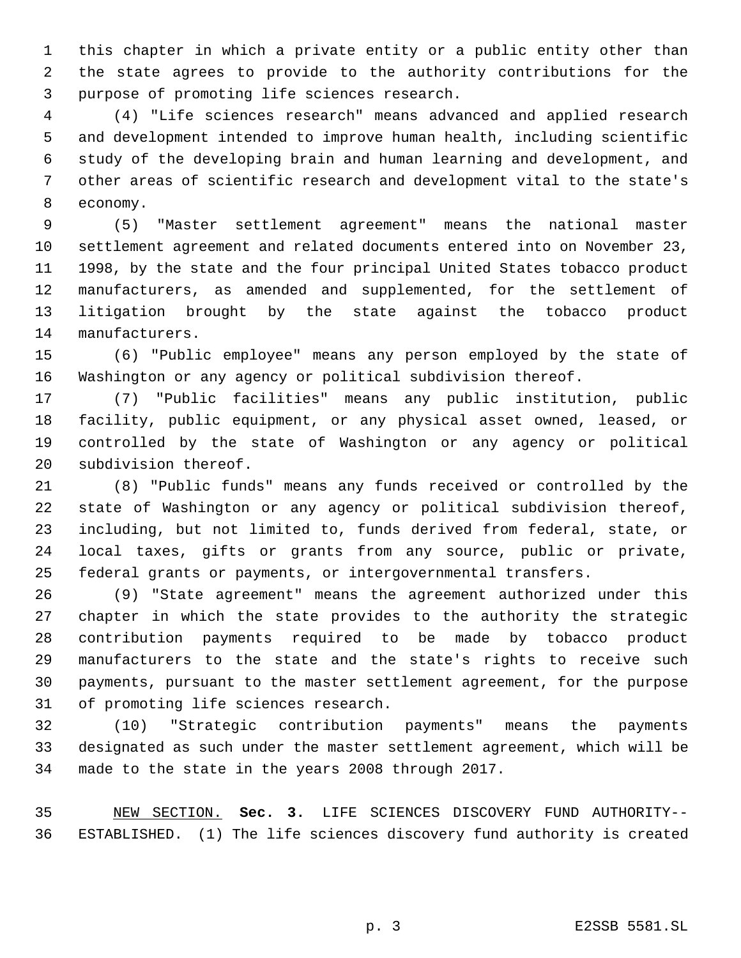this chapter in which a private entity or a public entity other than the state agrees to provide to the authority contributions for the purpose of promoting life sciences research.

 (4) "Life sciences research" means advanced and applied research and development intended to improve human health, including scientific study of the developing brain and human learning and development, and other areas of scientific research and development vital to the state's economy.

 (5) "Master settlement agreement" means the national master settlement agreement and related documents entered into on November 23, 1998, by the state and the four principal United States tobacco product manufacturers, as amended and supplemented, for the settlement of litigation brought by the state against the tobacco product manufacturers.

 (6) "Public employee" means any person employed by the state of Washington or any agency or political subdivision thereof.

 (7) "Public facilities" means any public institution, public facility, public equipment, or any physical asset owned, leased, or controlled by the state of Washington or any agency or political subdivision thereof.

 (8) "Public funds" means any funds received or controlled by the state of Washington or any agency or political subdivision thereof, including, but not limited to, funds derived from federal, state, or local taxes, gifts or grants from any source, public or private, federal grants or payments, or intergovernmental transfers.

 (9) "State agreement" means the agreement authorized under this chapter in which the state provides to the authority the strategic contribution payments required to be made by tobacco product manufacturers to the state and the state's rights to receive such payments, pursuant to the master settlement agreement, for the purpose of promoting life sciences research.

 (10) "Strategic contribution payments" means the payments designated as such under the master settlement agreement, which will be made to the state in the years 2008 through 2017.

 NEW SECTION. **Sec. 3.** LIFE SCIENCES DISCOVERY FUND AUTHORITY-- ESTABLISHED. (1) The life sciences discovery fund authority is created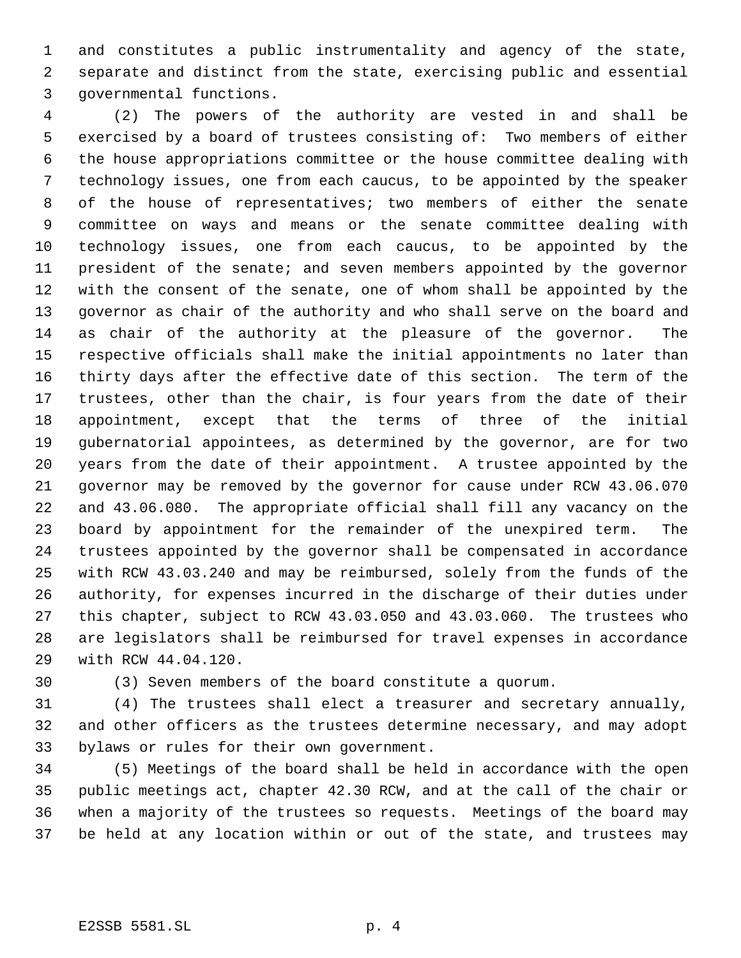and constitutes a public instrumentality and agency of the state, separate and distinct from the state, exercising public and essential governmental functions.

 (2) The powers of the authority are vested in and shall be exercised by a board of trustees consisting of: Two members of either the house appropriations committee or the house committee dealing with technology issues, one from each caucus, to be appointed by the speaker of the house of representatives; two members of either the senate committee on ways and means or the senate committee dealing with technology issues, one from each caucus, to be appointed by the president of the senate; and seven members appointed by the governor with the consent of the senate, one of whom shall be appointed by the governor as chair of the authority and who shall serve on the board and as chair of the authority at the pleasure of the governor. The respective officials shall make the initial appointments no later than thirty days after the effective date of this section. The term of the trustees, other than the chair, is four years from the date of their appointment, except that the terms of three of the initial gubernatorial appointees, as determined by the governor, are for two years from the date of their appointment. A trustee appointed by the governor may be removed by the governor for cause under RCW 43.06.070 and 43.06.080. The appropriate official shall fill any vacancy on the board by appointment for the remainder of the unexpired term. The trustees appointed by the governor shall be compensated in accordance with RCW 43.03.240 and may be reimbursed, solely from the funds of the authority, for expenses incurred in the discharge of their duties under this chapter, subject to RCW 43.03.050 and 43.03.060. The trustees who are legislators shall be reimbursed for travel expenses in accordance with RCW 44.04.120.

(3) Seven members of the board constitute a quorum.

 (4) The trustees shall elect a treasurer and secretary annually, and other officers as the trustees determine necessary, and may adopt bylaws or rules for their own government.

 (5) Meetings of the board shall be held in accordance with the open public meetings act, chapter 42.30 RCW, and at the call of the chair or when a majority of the trustees so requests. Meetings of the board may be held at any location within or out of the state, and trustees may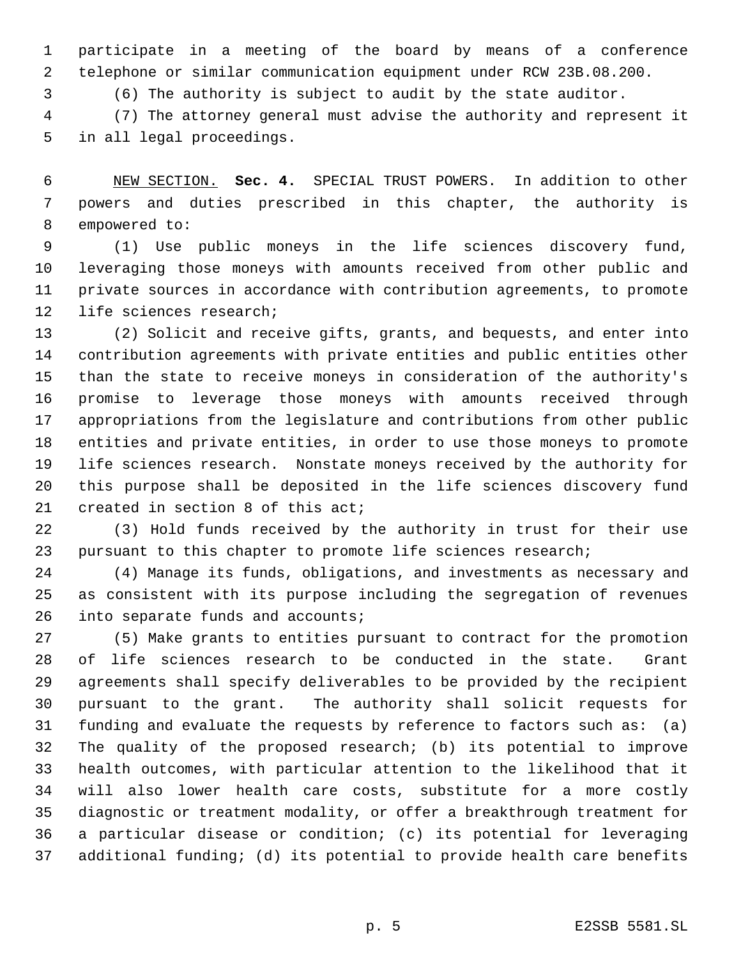participate in a meeting of the board by means of a conference telephone or similar communication equipment under RCW 23B.08.200.

(6) The authority is subject to audit by the state auditor.

 (7) The attorney general must advise the authority and represent it in all legal proceedings.

 NEW SECTION. **Sec. 4.** SPECIAL TRUST POWERS. In addition to other powers and duties prescribed in this chapter, the authority is empowered to:

 (1) Use public moneys in the life sciences discovery fund, leveraging those moneys with amounts received from other public and private sources in accordance with contribution agreements, to promote life sciences research;

 (2) Solicit and receive gifts, grants, and bequests, and enter into contribution agreements with private entities and public entities other than the state to receive moneys in consideration of the authority's promise to leverage those moneys with amounts received through appropriations from the legislature and contributions from other public entities and private entities, in order to use those moneys to promote life sciences research. Nonstate moneys received by the authority for this purpose shall be deposited in the life sciences discovery fund created in section 8 of this act;

 (3) Hold funds received by the authority in trust for their use pursuant to this chapter to promote life sciences research;

 (4) Manage its funds, obligations, and investments as necessary and as consistent with its purpose including the segregation of revenues 26 into separate funds and accounts;

 (5) Make grants to entities pursuant to contract for the promotion of life sciences research to be conducted in the state. Grant agreements shall specify deliverables to be provided by the recipient pursuant to the grant. The authority shall solicit requests for funding and evaluate the requests by reference to factors such as: (a) The quality of the proposed research; (b) its potential to improve health outcomes, with particular attention to the likelihood that it will also lower health care costs, substitute for a more costly diagnostic or treatment modality, or offer a breakthrough treatment for a particular disease or condition; (c) its potential for leveraging additional funding; (d) its potential to provide health care benefits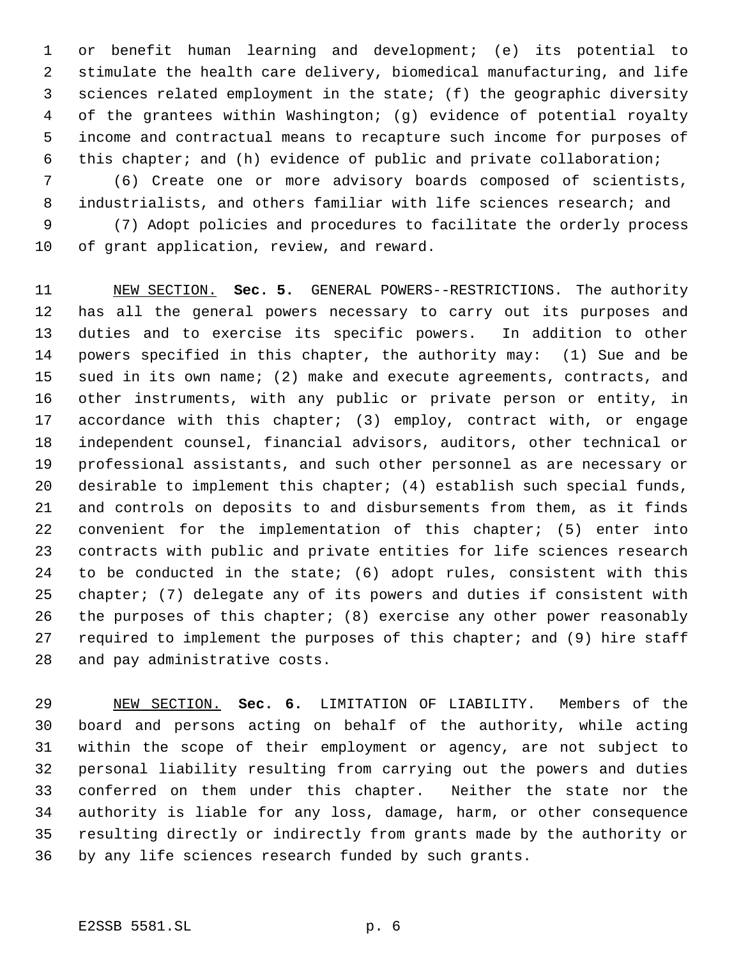or benefit human learning and development; (e) its potential to stimulate the health care delivery, biomedical manufacturing, and life sciences related employment in the state; (f) the geographic diversity of the grantees within Washington; (g) evidence of potential royalty income and contractual means to recapture such income for purposes of this chapter; and (h) evidence of public and private collaboration;

 (6) Create one or more advisory boards composed of scientists, industrialists, and others familiar with life sciences research; and

 (7) Adopt policies and procedures to facilitate the orderly process of grant application, review, and reward.

 NEW SECTION. **Sec. 5.** GENERAL POWERS--RESTRICTIONS. The authority has all the general powers necessary to carry out its purposes and duties and to exercise its specific powers. In addition to other powers specified in this chapter, the authority may: (1) Sue and be sued in its own name; (2) make and execute agreements, contracts, and other instruments, with any public or private person or entity, in accordance with this chapter; (3) employ, contract with, or engage independent counsel, financial advisors, auditors, other technical or professional assistants, and such other personnel as are necessary or 20 desirable to implement this chapter; (4) establish such special funds, and controls on deposits to and disbursements from them, as it finds convenient for the implementation of this chapter; (5) enter into contracts with public and private entities for life sciences research to be conducted in the state; (6) adopt rules, consistent with this chapter; (7) delegate any of its powers and duties if consistent with the purposes of this chapter; (8) exercise any other power reasonably required to implement the purposes of this chapter; and (9) hire staff and pay administrative costs.

 NEW SECTION. **Sec. 6.** LIMITATION OF LIABILITY. Members of the board and persons acting on behalf of the authority, while acting within the scope of their employment or agency, are not subject to personal liability resulting from carrying out the powers and duties conferred on them under this chapter. Neither the state nor the authority is liable for any loss, damage, harm, or other consequence resulting directly or indirectly from grants made by the authority or by any life sciences research funded by such grants.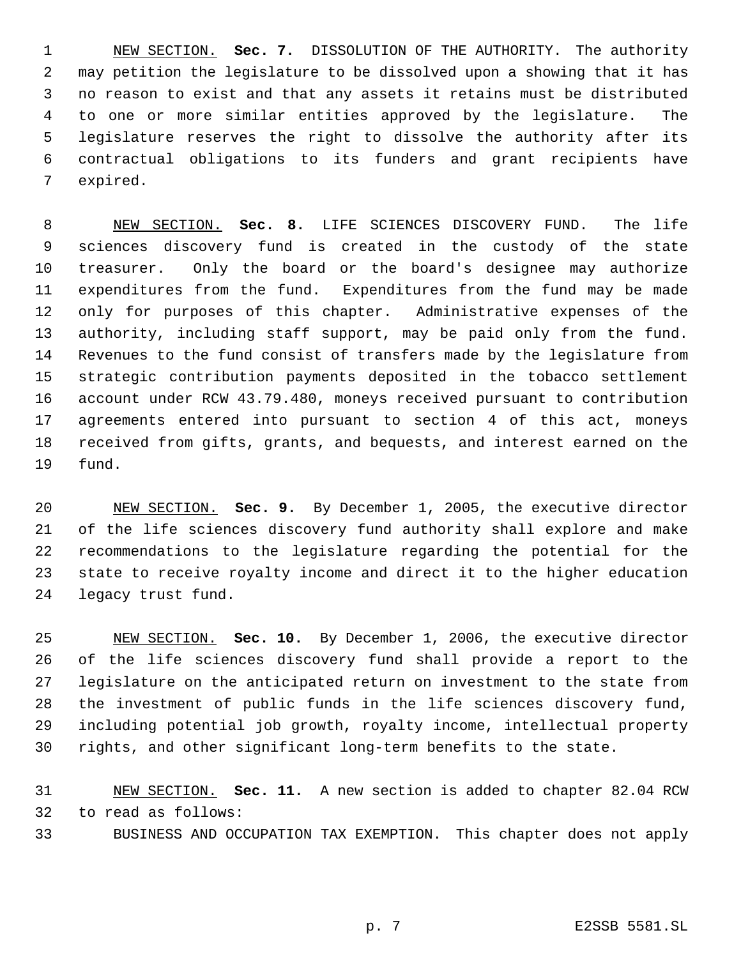NEW SECTION. **Sec. 7.** DISSOLUTION OF THE AUTHORITY. The authority may petition the legislature to be dissolved upon a showing that it has no reason to exist and that any assets it retains must be distributed to one or more similar entities approved by the legislature. The legislature reserves the right to dissolve the authority after its contractual obligations to its funders and grant recipients have expired.

 NEW SECTION. **Sec. 8.** LIFE SCIENCES DISCOVERY FUND. The life sciences discovery fund is created in the custody of the state treasurer. Only the board or the board's designee may authorize expenditures from the fund. Expenditures from the fund may be made only for purposes of this chapter. Administrative expenses of the authority, including staff support, may be paid only from the fund. Revenues to the fund consist of transfers made by the legislature from strategic contribution payments deposited in the tobacco settlement account under RCW 43.79.480, moneys received pursuant to contribution agreements entered into pursuant to section 4 of this act, moneys received from gifts, grants, and bequests, and interest earned on the fund.

 NEW SECTION. **Sec. 9.** By December 1, 2005, the executive director of the life sciences discovery fund authority shall explore and make recommendations to the legislature regarding the potential for the state to receive royalty income and direct it to the higher education legacy trust fund.

 NEW SECTION. **Sec. 10.** By December 1, 2006, the executive director of the life sciences discovery fund shall provide a report to the legislature on the anticipated return on investment to the state from the investment of public funds in the life sciences discovery fund, including potential job growth, royalty income, intellectual property rights, and other significant long-term benefits to the state.

 NEW SECTION. **Sec. 11.** A new section is added to chapter 82.04 RCW to read as follows:

BUSINESS AND OCCUPATION TAX EXEMPTION. This chapter does not apply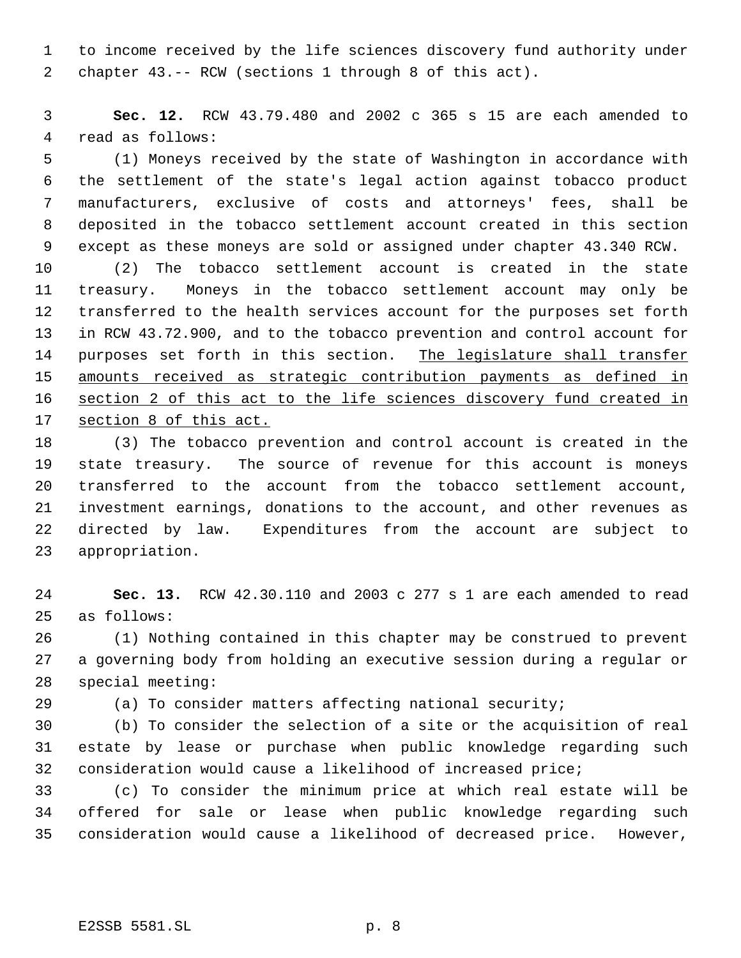to income received by the life sciences discovery fund authority under chapter 43.-- RCW (sections 1 through 8 of this act).

 **Sec. 12.** RCW 43.79.480 and 2002 c 365 s 15 are each amended to read as follows:

 (1) Moneys received by the state of Washington in accordance with the settlement of the state's legal action against tobacco product manufacturers, exclusive of costs and attorneys' fees, shall be deposited in the tobacco settlement account created in this section except as these moneys are sold or assigned under chapter 43.340 RCW.

 (2) The tobacco settlement account is created in the state treasury. Moneys in the tobacco settlement account may only be transferred to the health services account for the purposes set forth in RCW 43.72.900, and to the tobacco prevention and control account for 14 purposes set forth in this section. The legislature shall transfer amounts received as strategic contribution payments as defined in section 2 of this act to the life sciences discovery fund created in section 8 of this act.

 (3) The tobacco prevention and control account is created in the state treasury. The source of revenue for this account is moneys transferred to the account from the tobacco settlement account, investment earnings, donations to the account, and other revenues as directed by law. Expenditures from the account are subject to appropriation.

 **Sec. 13.** RCW 42.30.110 and 2003 c 277 s 1 are each amended to read as follows:

 (1) Nothing contained in this chapter may be construed to prevent a governing body from holding an executive session during a regular or special meeting:

(a) To consider matters affecting national security;

 (b) To consider the selection of a site or the acquisition of real estate by lease or purchase when public knowledge regarding such consideration would cause a likelihood of increased price;

 (c) To consider the minimum price at which real estate will be offered for sale or lease when public knowledge regarding such consideration would cause a likelihood of decreased price. However,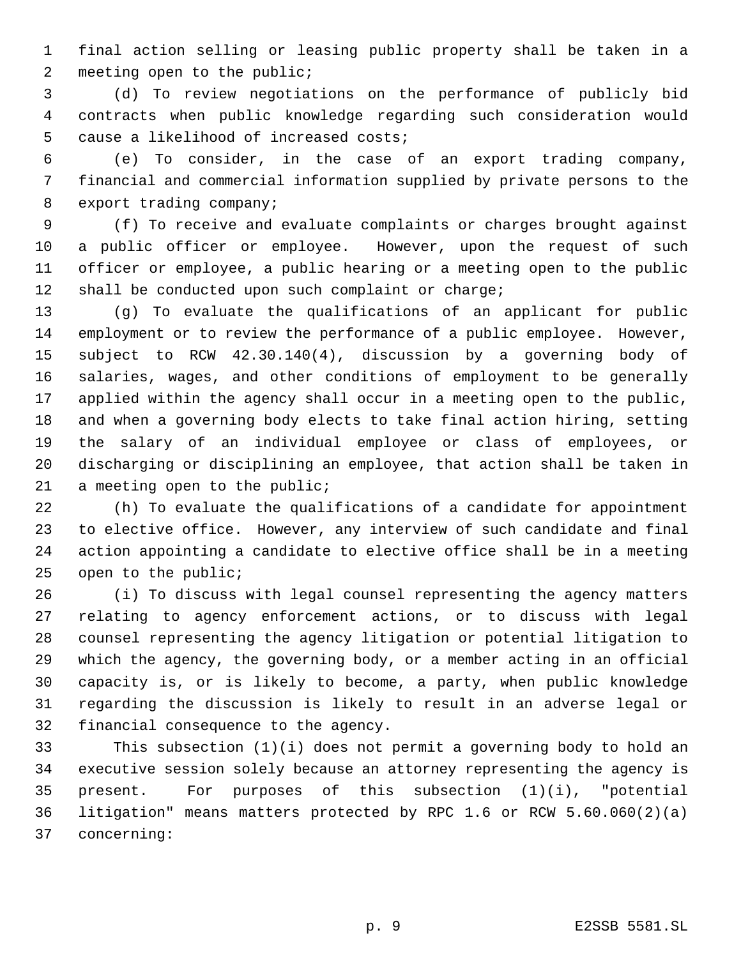final action selling or leasing public property shall be taken in a meeting open to the public;

 (d) To review negotiations on the performance of publicly bid contracts when public knowledge regarding such consideration would cause a likelihood of increased costs;

 (e) To consider, in the case of an export trading company, financial and commercial information supplied by private persons to the export trading company;

 (f) To receive and evaluate complaints or charges brought against a public officer or employee. However, upon the request of such officer or employee, a public hearing or a meeting open to the public shall be conducted upon such complaint or charge;

 (g) To evaluate the qualifications of an applicant for public employment or to review the performance of a public employee. However, subject to RCW 42.30.140(4), discussion by a governing body of salaries, wages, and other conditions of employment to be generally applied within the agency shall occur in a meeting open to the public, and when a governing body elects to take final action hiring, setting the salary of an individual employee or class of employees, or discharging or disciplining an employee, that action shall be taken in 21 a meeting open to the public;

 (h) To evaluate the qualifications of a candidate for appointment to elective office. However, any interview of such candidate and final action appointing a candidate to elective office shall be in a meeting open to the public;

 (i) To discuss with legal counsel representing the agency matters relating to agency enforcement actions, or to discuss with legal counsel representing the agency litigation or potential litigation to which the agency, the governing body, or a member acting in an official capacity is, or is likely to become, a party, when public knowledge regarding the discussion is likely to result in an adverse legal or financial consequence to the agency.

 This subsection (1)(i) does not permit a governing body to hold an executive session solely because an attorney representing the agency is present. For purposes of this subsection (1)(i), "potential litigation" means matters protected by RPC 1.6 or RCW 5.60.060(2)(a) concerning: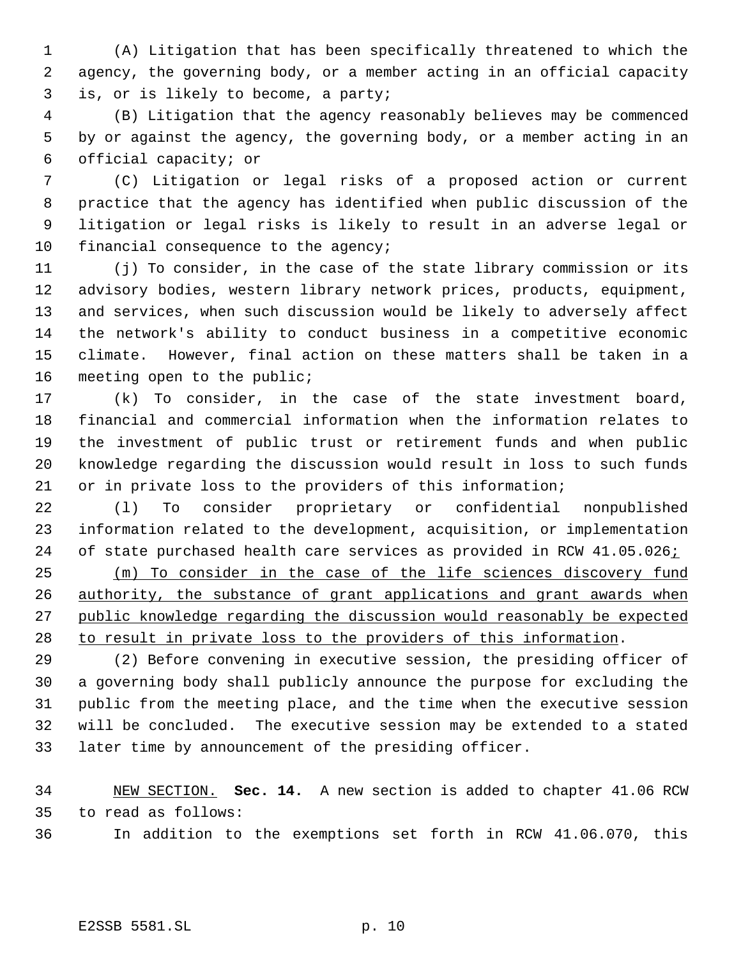(A) Litigation that has been specifically threatened to which the agency, the governing body, or a member acting in an official capacity is, or is likely to become, a party;

 (B) Litigation that the agency reasonably believes may be commenced by or against the agency, the governing body, or a member acting in an official capacity; or

 (C) Litigation or legal risks of a proposed action or current practice that the agency has identified when public discussion of the litigation or legal risks is likely to result in an adverse legal or 10 financial consequence to the agency;

 (j) To consider, in the case of the state library commission or its advisory bodies, western library network prices, products, equipment, and services, when such discussion would be likely to adversely affect the network's ability to conduct business in a competitive economic climate. However, final action on these matters shall be taken in a meeting open to the public;

 (k) To consider, in the case of the state investment board, financial and commercial information when the information relates to the investment of public trust or retirement funds and when public knowledge regarding the discussion would result in loss to such funds or in private loss to the providers of this information;

 (l) To consider proprietary or confidential nonpublished information related to the development, acquisition, or implementation 24 of state purchased health care services as provided in RCW 41.05.026;

 (m) To consider in the case of the life sciences discovery fund 26 authority, the substance of grant applications and grant awards when public knowledge regarding the discussion would reasonably be expected to result in private loss to the providers of this information.

 (2) Before convening in executive session, the presiding officer of a governing body shall publicly announce the purpose for excluding the public from the meeting place, and the time when the executive session will be concluded. The executive session may be extended to a stated later time by announcement of the presiding officer.

 NEW SECTION. **Sec. 14.** A new section is added to chapter 41.06 RCW to read as follows:

In addition to the exemptions set forth in RCW 41.06.070, this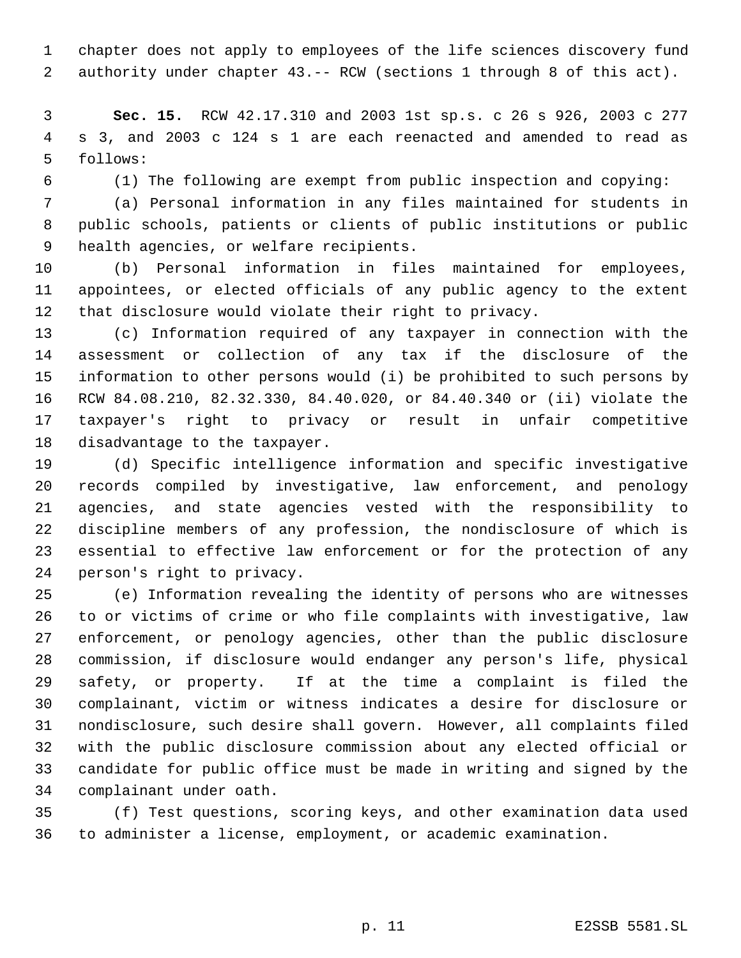chapter does not apply to employees of the life sciences discovery fund authority under chapter 43.-- RCW (sections 1 through 8 of this act).

 **Sec. 15.** RCW 42.17.310 and 2003 1st sp.s. c 26 s 926, 2003 c 277 s 3, and 2003 c 124 s 1 are each reenacted and amended to read as follows:

(1) The following are exempt from public inspection and copying:

 (a) Personal information in any files maintained for students in public schools, patients or clients of public institutions or public health agencies, or welfare recipients.

 (b) Personal information in files maintained for employees, appointees, or elected officials of any public agency to the extent that disclosure would violate their right to privacy.

 (c) Information required of any taxpayer in connection with the assessment or collection of any tax if the disclosure of the information to other persons would (i) be prohibited to such persons by RCW 84.08.210, 82.32.330, 84.40.020, or 84.40.340 or (ii) violate the taxpayer's right to privacy or result in unfair competitive disadvantage to the taxpayer.

 (d) Specific intelligence information and specific investigative records compiled by investigative, law enforcement, and penology agencies, and state agencies vested with the responsibility to discipline members of any profession, the nondisclosure of which is essential to effective law enforcement or for the protection of any person's right to privacy.

 (e) Information revealing the identity of persons who are witnesses to or victims of crime or who file complaints with investigative, law enforcement, or penology agencies, other than the public disclosure commission, if disclosure would endanger any person's life, physical safety, or property. If at the time a complaint is filed the complainant, victim or witness indicates a desire for disclosure or nondisclosure, such desire shall govern. However, all complaints filed with the public disclosure commission about any elected official or candidate for public office must be made in writing and signed by the complainant under oath.

 (f) Test questions, scoring keys, and other examination data used to administer a license, employment, or academic examination.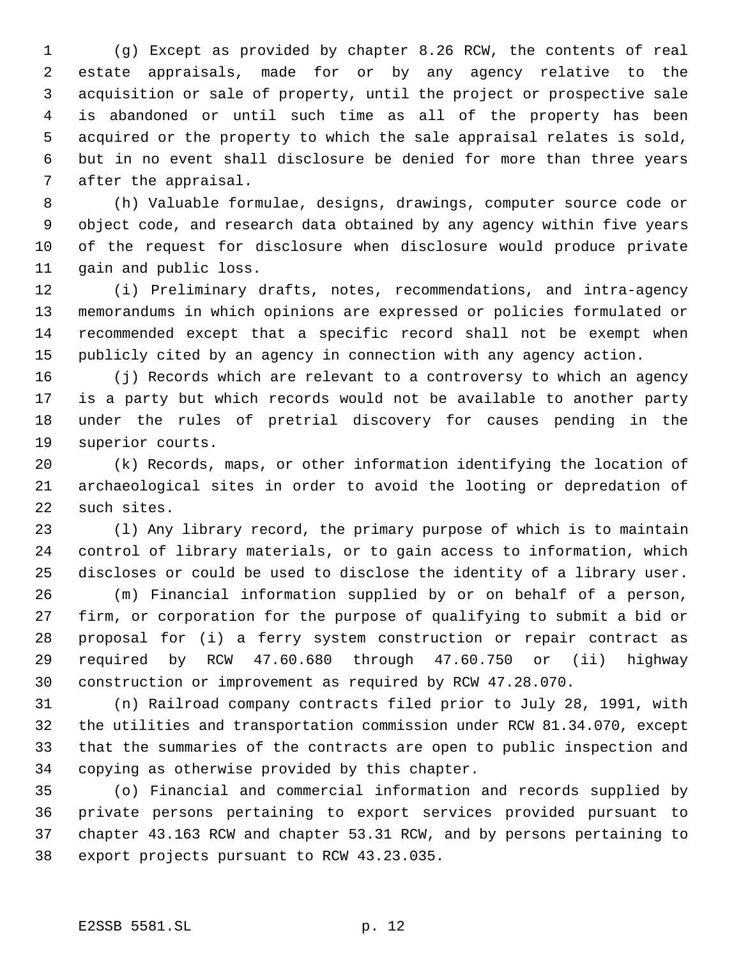(g) Except as provided by chapter 8.26 RCW, the contents of real estate appraisals, made for or by any agency relative to the acquisition or sale of property, until the project or prospective sale is abandoned or until such time as all of the property has been acquired or the property to which the sale appraisal relates is sold, but in no event shall disclosure be denied for more than three years after the appraisal.

 (h) Valuable formulae, designs, drawings, computer source code or object code, and research data obtained by any agency within five years of the request for disclosure when disclosure would produce private gain and public loss.

 (i) Preliminary drafts, notes, recommendations, and intra-agency memorandums in which opinions are expressed or policies formulated or recommended except that a specific record shall not be exempt when publicly cited by an agency in connection with any agency action.

 (j) Records which are relevant to a controversy to which an agency is a party but which records would not be available to another party under the rules of pretrial discovery for causes pending in the superior courts.

 (k) Records, maps, or other information identifying the location of archaeological sites in order to avoid the looting or depredation of such sites.

 (l) Any library record, the primary purpose of which is to maintain control of library materials, or to gain access to information, which discloses or could be used to disclose the identity of a library user.

 (m) Financial information supplied by or on behalf of a person, firm, or corporation for the purpose of qualifying to submit a bid or proposal for (i) a ferry system construction or repair contract as required by RCW 47.60.680 through 47.60.750 or (ii) highway construction or improvement as required by RCW 47.28.070.

 (n) Railroad company contracts filed prior to July 28, 1991, with the utilities and transportation commission under RCW 81.34.070, except that the summaries of the contracts are open to public inspection and copying as otherwise provided by this chapter.

 (o) Financial and commercial information and records supplied by private persons pertaining to export services provided pursuant to chapter 43.163 RCW and chapter 53.31 RCW, and by persons pertaining to export projects pursuant to RCW 43.23.035.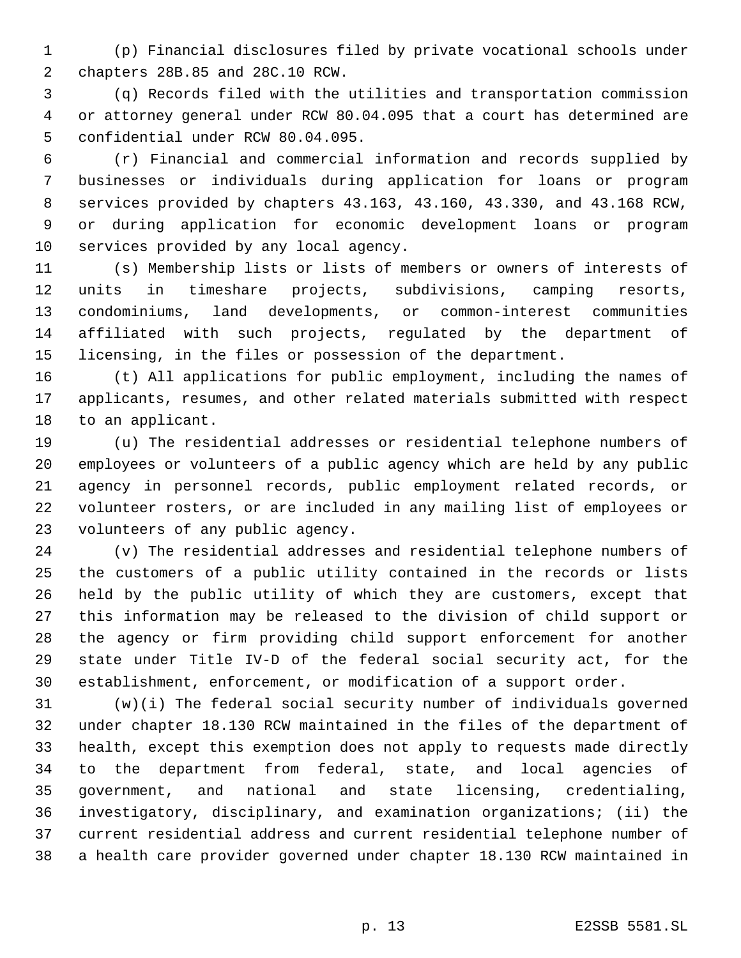(p) Financial disclosures filed by private vocational schools under chapters 28B.85 and 28C.10 RCW.

 (q) Records filed with the utilities and transportation commission or attorney general under RCW 80.04.095 that a court has determined are confidential under RCW 80.04.095.

 (r) Financial and commercial information and records supplied by businesses or individuals during application for loans or program services provided by chapters 43.163, 43.160, 43.330, and 43.168 RCW, or during application for economic development loans or program services provided by any local agency.

 (s) Membership lists or lists of members or owners of interests of units in timeshare projects, subdivisions, camping resorts, condominiums, land developments, or common-interest communities affiliated with such projects, regulated by the department of licensing, in the files or possession of the department.

 (t) All applications for public employment, including the names of applicants, resumes, and other related materials submitted with respect to an applicant.

 (u) The residential addresses or residential telephone numbers of employees or volunteers of a public agency which are held by any public agency in personnel records, public employment related records, or volunteer rosters, or are included in any mailing list of employees or volunteers of any public agency.

 (v) The residential addresses and residential telephone numbers of the customers of a public utility contained in the records or lists held by the public utility of which they are customers, except that this information may be released to the division of child support or the agency or firm providing child support enforcement for another state under Title IV-D of the federal social security act, for the establishment, enforcement, or modification of a support order.

 (w)(i) The federal social security number of individuals governed under chapter 18.130 RCW maintained in the files of the department of health, except this exemption does not apply to requests made directly to the department from federal, state, and local agencies of government, and national and state licensing, credentialing, investigatory, disciplinary, and examination organizations; (ii) the current residential address and current residential telephone number of a health care provider governed under chapter 18.130 RCW maintained in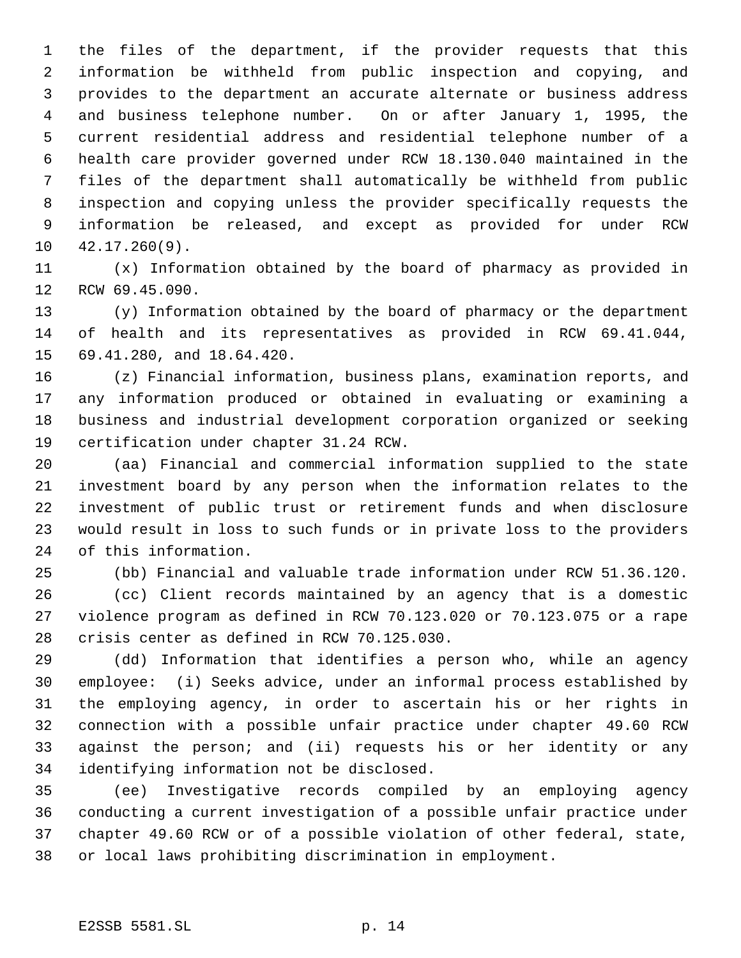the files of the department, if the provider requests that this information be withheld from public inspection and copying, and provides to the department an accurate alternate or business address and business telephone number. On or after January 1, 1995, the current residential address and residential telephone number of a health care provider governed under RCW 18.130.040 maintained in the files of the department shall automatically be withheld from public inspection and copying unless the provider specifically requests the information be released, and except as provided for under RCW 42.17.260(9).

 (x) Information obtained by the board of pharmacy as provided in RCW 69.45.090.

 (y) Information obtained by the board of pharmacy or the department of health and its representatives as provided in RCW 69.41.044, 69.41.280, and 18.64.420.

 (z) Financial information, business plans, examination reports, and any information produced or obtained in evaluating or examining a business and industrial development corporation organized or seeking certification under chapter 31.24 RCW.

 (aa) Financial and commercial information supplied to the state investment board by any person when the information relates to the investment of public trust or retirement funds and when disclosure would result in loss to such funds or in private loss to the providers of this information.

 (bb) Financial and valuable trade information under RCW 51.36.120. (cc) Client records maintained by an agency that is a domestic violence program as defined in RCW 70.123.020 or 70.123.075 or a rape crisis center as defined in RCW 70.125.030.

 (dd) Information that identifies a person who, while an agency employee: (i) Seeks advice, under an informal process established by the employing agency, in order to ascertain his or her rights in connection with a possible unfair practice under chapter 49.60 RCW against the person; and (ii) requests his or her identity or any identifying information not be disclosed.

 (ee) Investigative records compiled by an employing agency conducting a current investigation of a possible unfair practice under chapter 49.60 RCW or of a possible violation of other federal, state, or local laws prohibiting discrimination in employment.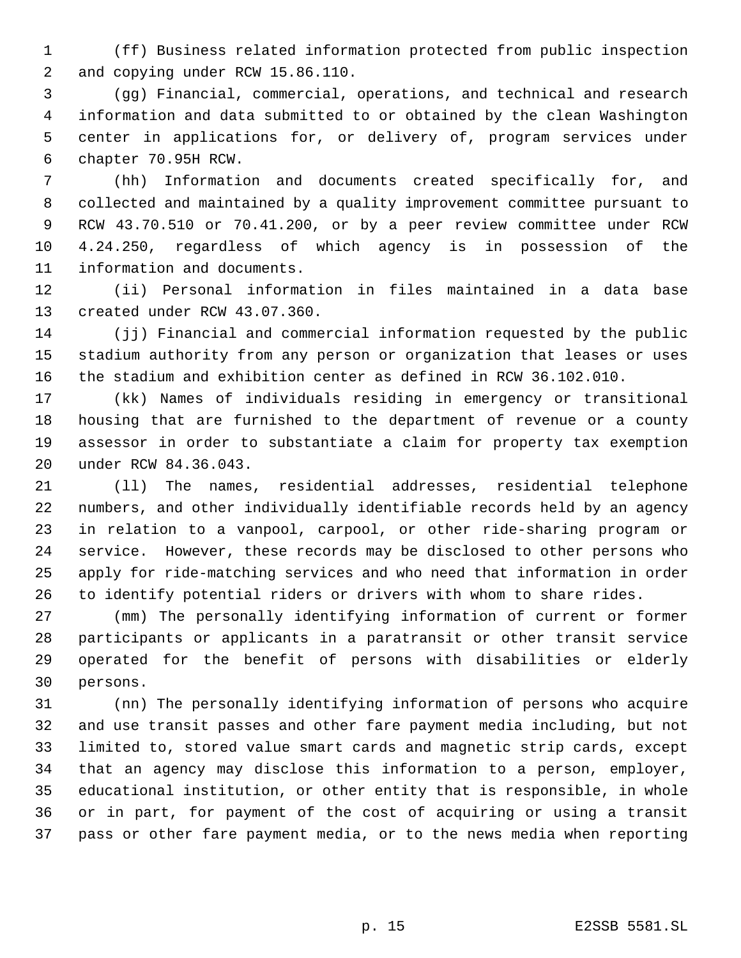(ff) Business related information protected from public inspection and copying under RCW 15.86.110.

 (gg) Financial, commercial, operations, and technical and research information and data submitted to or obtained by the clean Washington center in applications for, or delivery of, program services under chapter 70.95H RCW.

 (hh) Information and documents created specifically for, and collected and maintained by a quality improvement committee pursuant to RCW 43.70.510 or 70.41.200, or by a peer review committee under RCW 4.24.250, regardless of which agency is in possession of the information and documents.

 (ii) Personal information in files maintained in a data base created under RCW 43.07.360.

 (jj) Financial and commercial information requested by the public stadium authority from any person or organization that leases or uses the stadium and exhibition center as defined in RCW 36.102.010.

 (kk) Names of individuals residing in emergency or transitional housing that are furnished to the department of revenue or a county assessor in order to substantiate a claim for property tax exemption under RCW 84.36.043.

 (ll) The names, residential addresses, residential telephone numbers, and other individually identifiable records held by an agency in relation to a vanpool, carpool, or other ride-sharing program or service. However, these records may be disclosed to other persons who apply for ride-matching services and who need that information in order to identify potential riders or drivers with whom to share rides.

 (mm) The personally identifying information of current or former participants or applicants in a paratransit or other transit service operated for the benefit of persons with disabilities or elderly persons.

 (nn) The personally identifying information of persons who acquire and use transit passes and other fare payment media including, but not limited to, stored value smart cards and magnetic strip cards, except that an agency may disclose this information to a person, employer, educational institution, or other entity that is responsible, in whole or in part, for payment of the cost of acquiring or using a transit pass or other fare payment media, or to the news media when reporting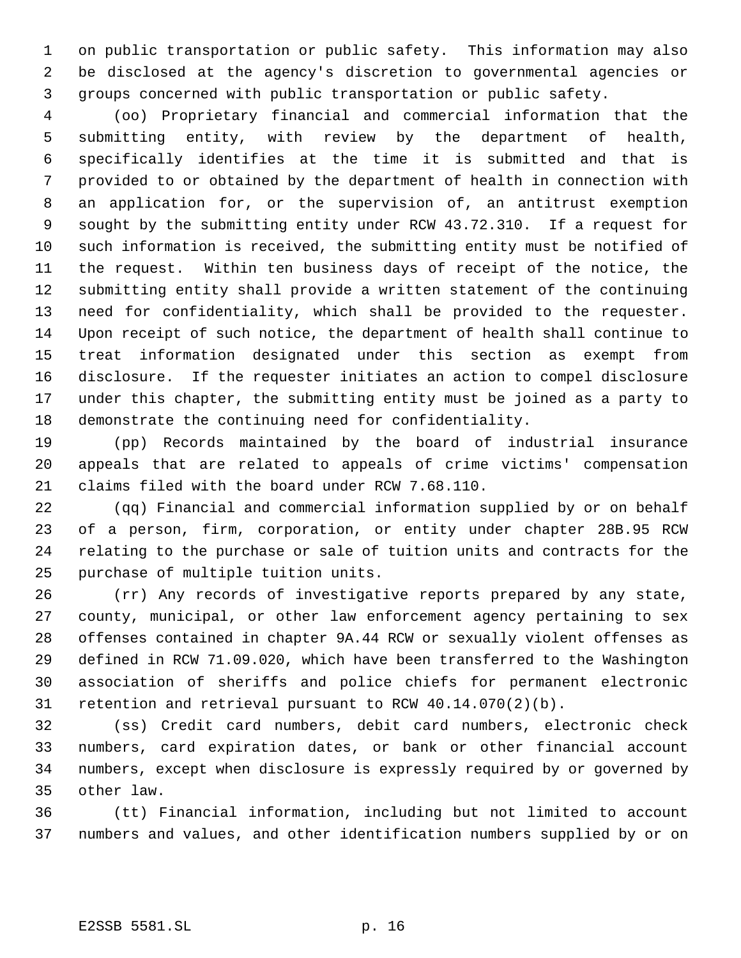on public transportation or public safety. This information may also be disclosed at the agency's discretion to governmental agencies or groups concerned with public transportation or public safety.

 (oo) Proprietary financial and commercial information that the submitting entity, with review by the department of health, specifically identifies at the time it is submitted and that is provided to or obtained by the department of health in connection with an application for, or the supervision of, an antitrust exemption sought by the submitting entity under RCW 43.72.310. If a request for such information is received, the submitting entity must be notified of the request. Within ten business days of receipt of the notice, the submitting entity shall provide a written statement of the continuing need for confidentiality, which shall be provided to the requester. Upon receipt of such notice, the department of health shall continue to treat information designated under this section as exempt from disclosure. If the requester initiates an action to compel disclosure under this chapter, the submitting entity must be joined as a party to demonstrate the continuing need for confidentiality.

 (pp) Records maintained by the board of industrial insurance appeals that are related to appeals of crime victims' compensation claims filed with the board under RCW 7.68.110.

 (qq) Financial and commercial information supplied by or on behalf of a person, firm, corporation, or entity under chapter 28B.95 RCW relating to the purchase or sale of tuition units and contracts for the purchase of multiple tuition units.

 (rr) Any records of investigative reports prepared by any state, county, municipal, or other law enforcement agency pertaining to sex offenses contained in chapter 9A.44 RCW or sexually violent offenses as defined in RCW 71.09.020, which have been transferred to the Washington association of sheriffs and police chiefs for permanent electronic retention and retrieval pursuant to RCW 40.14.070(2)(b).

 (ss) Credit card numbers, debit card numbers, electronic check numbers, card expiration dates, or bank or other financial account numbers, except when disclosure is expressly required by or governed by other law.

 (tt) Financial information, including but not limited to account numbers and values, and other identification numbers supplied by or on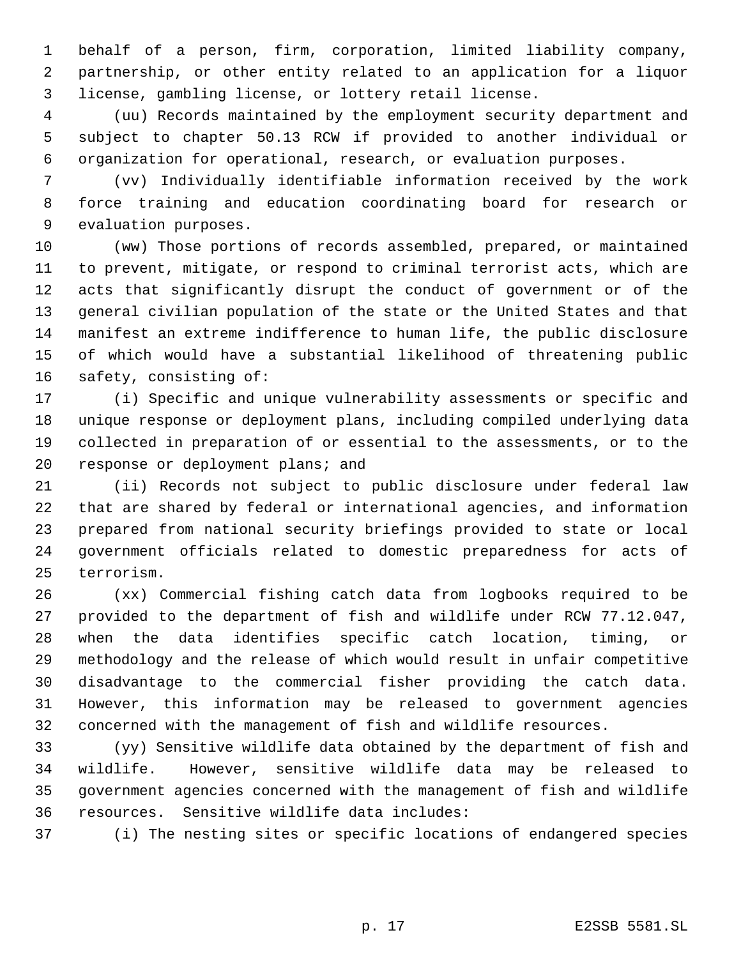behalf of a person, firm, corporation, limited liability company, partnership, or other entity related to an application for a liquor license, gambling license, or lottery retail license.

 (uu) Records maintained by the employment security department and subject to chapter 50.13 RCW if provided to another individual or organization for operational, research, or evaluation purposes.

 (vv) Individually identifiable information received by the work force training and education coordinating board for research or evaluation purposes.

 (ww) Those portions of records assembled, prepared, or maintained to prevent, mitigate, or respond to criminal terrorist acts, which are acts that significantly disrupt the conduct of government or of the general civilian population of the state or the United States and that manifest an extreme indifference to human life, the public disclosure of which would have a substantial likelihood of threatening public safety, consisting of:

 (i) Specific and unique vulnerability assessments or specific and unique response or deployment plans, including compiled underlying data collected in preparation of or essential to the assessments, or to the response or deployment plans; and

 (ii) Records not subject to public disclosure under federal law that are shared by federal or international agencies, and information prepared from national security briefings provided to state or local government officials related to domestic preparedness for acts of terrorism.

 (xx) Commercial fishing catch data from logbooks required to be provided to the department of fish and wildlife under RCW 77.12.047, when the data identifies specific catch location, timing, or methodology and the release of which would result in unfair competitive disadvantage to the commercial fisher providing the catch data. However, this information may be released to government agencies concerned with the management of fish and wildlife resources.

 (yy) Sensitive wildlife data obtained by the department of fish and wildlife. However, sensitive wildlife data may be released to government agencies concerned with the management of fish and wildlife resources. Sensitive wildlife data includes:

(i) The nesting sites or specific locations of endangered species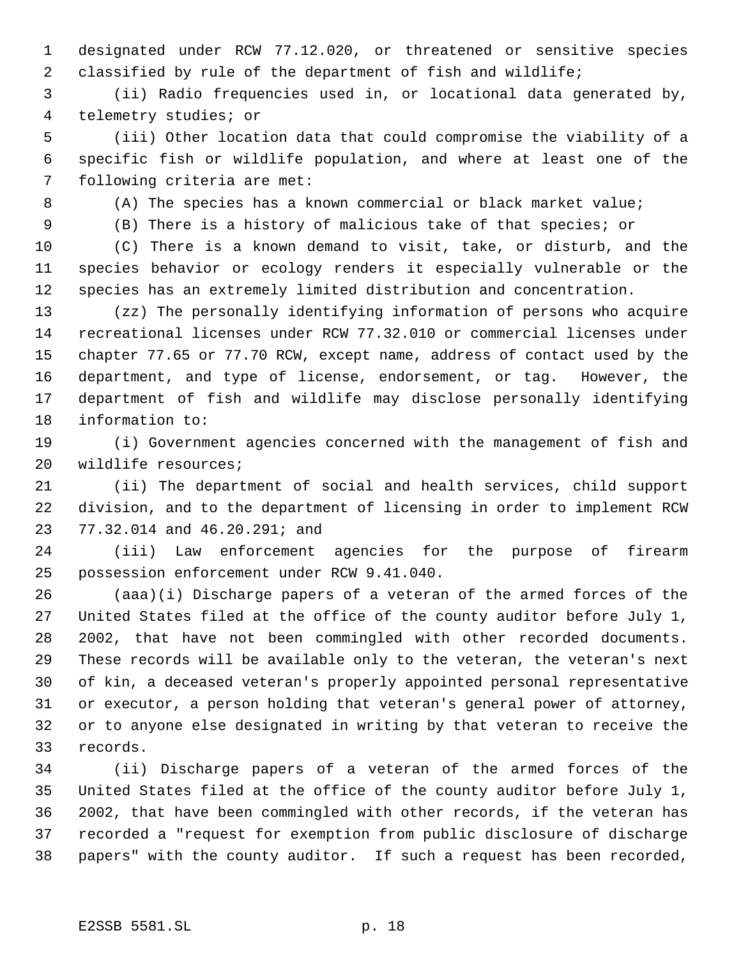designated under RCW 77.12.020, or threatened or sensitive species classified by rule of the department of fish and wildlife;

 (ii) Radio frequencies used in, or locational data generated by, telemetry studies; or

 (iii) Other location data that could compromise the viability of a specific fish or wildlife population, and where at least one of the following criteria are met:

(A) The species has a known commercial or black market value;

(B) There is a history of malicious take of that species; or

 (C) There is a known demand to visit, take, or disturb, and the species behavior or ecology renders it especially vulnerable or the species has an extremely limited distribution and concentration.

 (zz) The personally identifying information of persons who acquire recreational licenses under RCW 77.32.010 or commercial licenses under chapter 77.65 or 77.70 RCW, except name, address of contact used by the department, and type of license, endorsement, or tag. However, the department of fish and wildlife may disclose personally identifying information to:

 (i) Government agencies concerned with the management of fish and wildlife resources;

 (ii) The department of social and health services, child support division, and to the department of licensing in order to implement RCW 77.32.014 and 46.20.291; and

 (iii) Law enforcement agencies for the purpose of firearm possession enforcement under RCW 9.41.040.

 (aaa)(i) Discharge papers of a veteran of the armed forces of the United States filed at the office of the county auditor before July 1, 2002, that have not been commingled with other recorded documents. These records will be available only to the veteran, the veteran's next of kin, a deceased veteran's properly appointed personal representative or executor, a person holding that veteran's general power of attorney, or to anyone else designated in writing by that veteran to receive the records.

 (ii) Discharge papers of a veteran of the armed forces of the United States filed at the office of the county auditor before July 1, 2002, that have been commingled with other records, if the veteran has recorded a "request for exemption from public disclosure of discharge papers" with the county auditor. If such a request has been recorded,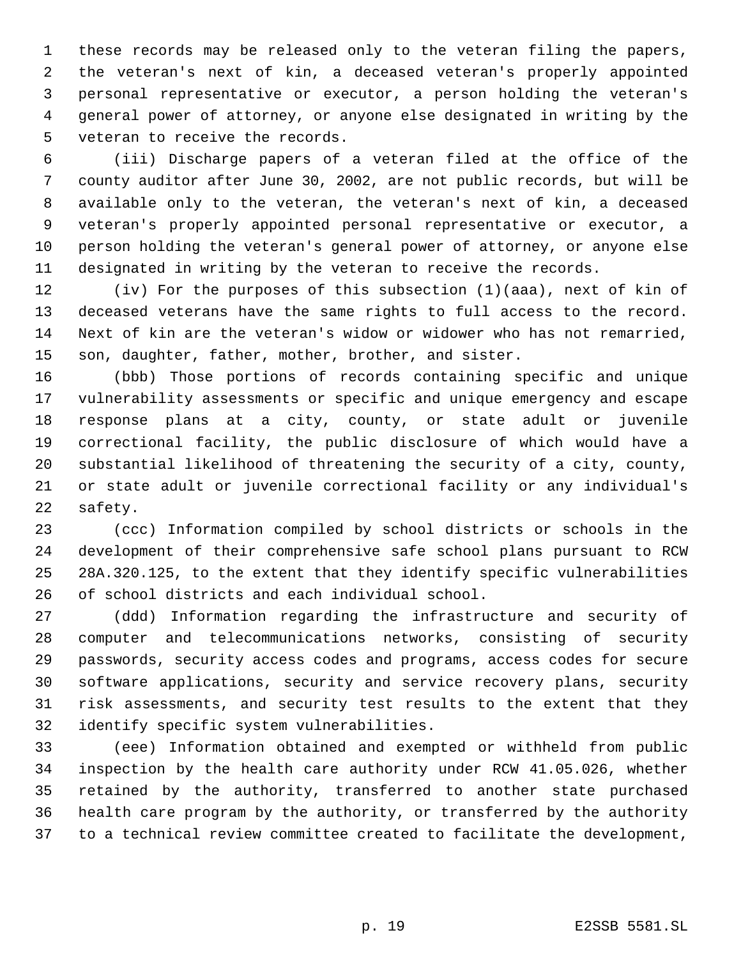these records may be released only to the veteran filing the papers, the veteran's next of kin, a deceased veteran's properly appointed personal representative or executor, a person holding the veteran's general power of attorney, or anyone else designated in writing by the veteran to receive the records.

 (iii) Discharge papers of a veteran filed at the office of the county auditor after June 30, 2002, are not public records, but will be available only to the veteran, the veteran's next of kin, a deceased veteran's properly appointed personal representative or executor, a person holding the veteran's general power of attorney, or anyone else designated in writing by the veteran to receive the records.

 (iv) For the purposes of this subsection (1)(aaa), next of kin of deceased veterans have the same rights to full access to the record. Next of kin are the veteran's widow or widower who has not remarried, son, daughter, father, mother, brother, and sister.

 (bbb) Those portions of records containing specific and unique vulnerability assessments or specific and unique emergency and escape response plans at a city, county, or state adult or juvenile correctional facility, the public disclosure of which would have a substantial likelihood of threatening the security of a city, county, or state adult or juvenile correctional facility or any individual's safety.

 (ccc) Information compiled by school districts or schools in the development of their comprehensive safe school plans pursuant to RCW 28A.320.125, to the extent that they identify specific vulnerabilities of school districts and each individual school.

 (ddd) Information regarding the infrastructure and security of computer and telecommunications networks, consisting of security passwords, security access codes and programs, access codes for secure software applications, security and service recovery plans, security risk assessments, and security test results to the extent that they identify specific system vulnerabilities.

 (eee) Information obtained and exempted or withheld from public inspection by the health care authority under RCW 41.05.026, whether retained by the authority, transferred to another state purchased health care program by the authority, or transferred by the authority to a technical review committee created to facilitate the development,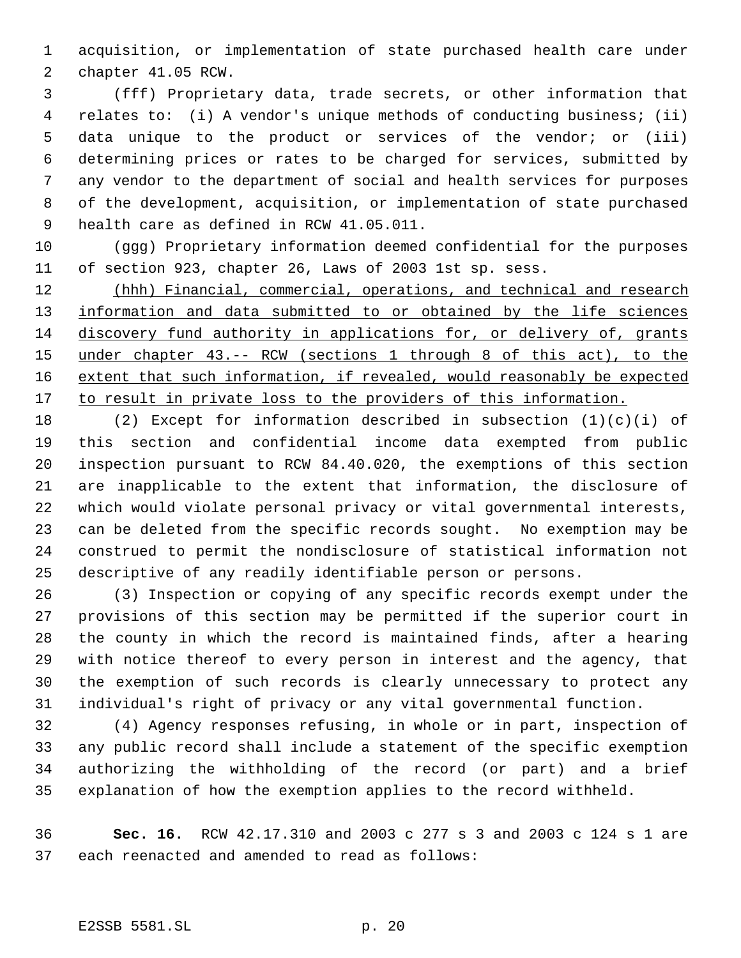acquisition, or implementation of state purchased health care under chapter 41.05 RCW.

 (fff) Proprietary data, trade secrets, or other information that relates to: (i) A vendor's unique methods of conducting business; (ii) data unique to the product or services of the vendor; or (iii) determining prices or rates to be charged for services, submitted by any vendor to the department of social and health services for purposes of the development, acquisition, or implementation of state purchased health care as defined in RCW 41.05.011.

 (ggg) Proprietary information deemed confidential for the purposes of section 923, chapter 26, Laws of 2003 1st sp. sess.

12 (hhh) Financial, commercial, operations, and technical and research 13 information and data submitted to or obtained by the life sciences discovery fund authority in applications for, or delivery of, grants under chapter 43.-- RCW (sections 1 through 8 of this act), to the extent that such information, if revealed, would reasonably be expected 17 to result in private loss to the providers of this information.

 (2) Except for information described in subsection (1)(c)(i) of this section and confidential income data exempted from public inspection pursuant to RCW 84.40.020, the exemptions of this section are inapplicable to the extent that information, the disclosure of which would violate personal privacy or vital governmental interests, can be deleted from the specific records sought. No exemption may be construed to permit the nondisclosure of statistical information not descriptive of any readily identifiable person or persons.

 (3) Inspection or copying of any specific records exempt under the provisions of this section may be permitted if the superior court in the county in which the record is maintained finds, after a hearing with notice thereof to every person in interest and the agency, that the exemption of such records is clearly unnecessary to protect any individual's right of privacy or any vital governmental function.

 (4) Agency responses refusing, in whole or in part, inspection of any public record shall include a statement of the specific exemption authorizing the withholding of the record (or part) and a brief explanation of how the exemption applies to the record withheld.

 **Sec. 16.** RCW 42.17.310 and 2003 c 277 s 3 and 2003 c 124 s 1 are each reenacted and amended to read as follows:

## E2SSB 5581.SL p. 20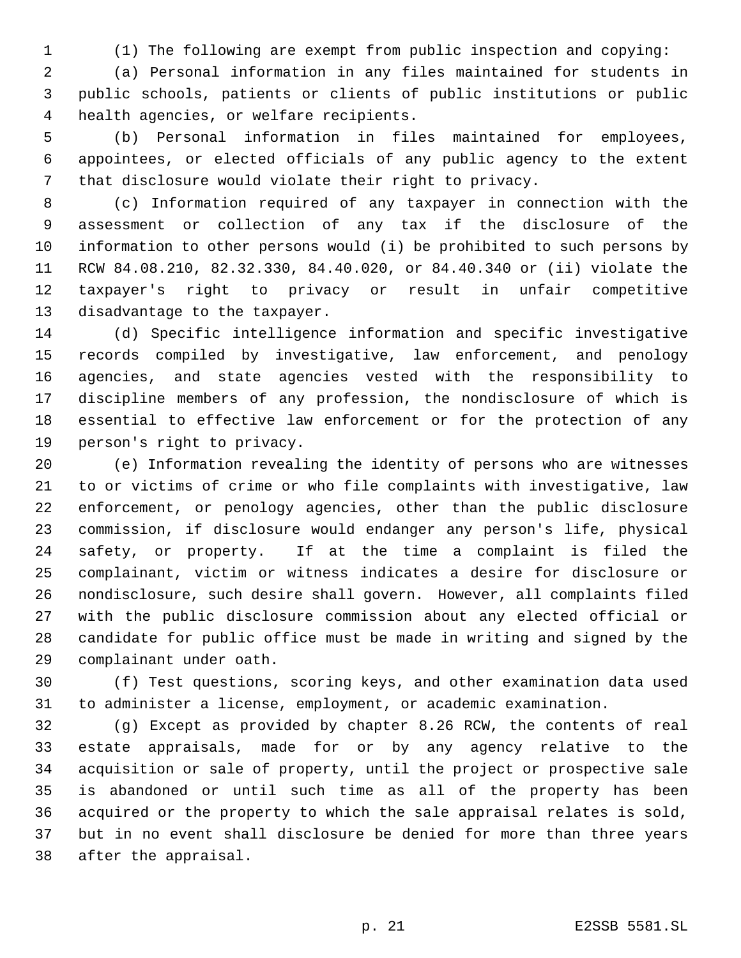(1) The following are exempt from public inspection and copying:

 (a) Personal information in any files maintained for students in public schools, patients or clients of public institutions or public health agencies, or welfare recipients.

 (b) Personal information in files maintained for employees, appointees, or elected officials of any public agency to the extent that disclosure would violate their right to privacy.

 (c) Information required of any taxpayer in connection with the assessment or collection of any tax if the disclosure of the information to other persons would (i) be prohibited to such persons by RCW 84.08.210, 82.32.330, 84.40.020, or 84.40.340 or (ii) violate the taxpayer's right to privacy or result in unfair competitive disadvantage to the taxpayer.

 (d) Specific intelligence information and specific investigative records compiled by investigative, law enforcement, and penology agencies, and state agencies vested with the responsibility to discipline members of any profession, the nondisclosure of which is essential to effective law enforcement or for the protection of any person's right to privacy.

 (e) Information revealing the identity of persons who are witnesses to or victims of crime or who file complaints with investigative, law enforcement, or penology agencies, other than the public disclosure commission, if disclosure would endanger any person's life, physical safety, or property. If at the time a complaint is filed the complainant, victim or witness indicates a desire for disclosure or nondisclosure, such desire shall govern. However, all complaints filed with the public disclosure commission about any elected official or candidate for public office must be made in writing and signed by the complainant under oath.

 (f) Test questions, scoring keys, and other examination data used to administer a license, employment, or academic examination.

 (g) Except as provided by chapter 8.26 RCW, the contents of real estate appraisals, made for or by any agency relative to the acquisition or sale of property, until the project or prospective sale is abandoned or until such time as all of the property has been acquired or the property to which the sale appraisal relates is sold, but in no event shall disclosure be denied for more than three years after the appraisal.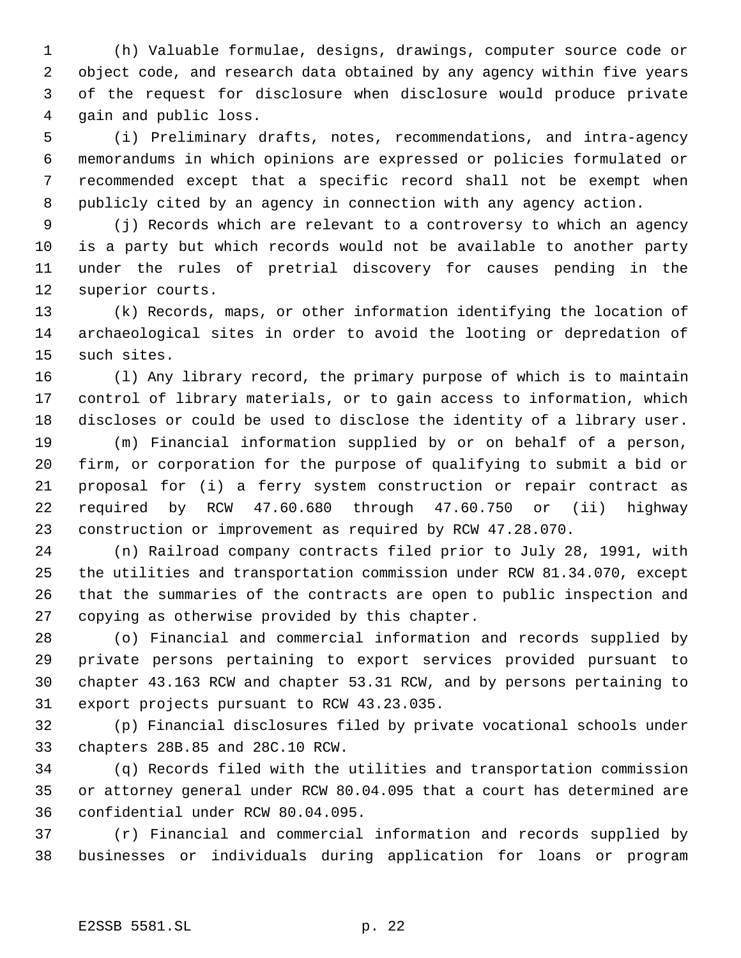(h) Valuable formulae, designs, drawings, computer source code or object code, and research data obtained by any agency within five years of the request for disclosure when disclosure would produce private gain and public loss.

 (i) Preliminary drafts, notes, recommendations, and intra-agency memorandums in which opinions are expressed or policies formulated or recommended except that a specific record shall not be exempt when publicly cited by an agency in connection with any agency action.

 (j) Records which are relevant to a controversy to which an agency is a party but which records would not be available to another party under the rules of pretrial discovery for causes pending in the superior courts.

 (k) Records, maps, or other information identifying the location of archaeological sites in order to avoid the looting or depredation of such sites.

 (l) Any library record, the primary purpose of which is to maintain control of library materials, or to gain access to information, which discloses or could be used to disclose the identity of a library user.

 (m) Financial information supplied by or on behalf of a person, firm, or corporation for the purpose of qualifying to submit a bid or proposal for (i) a ferry system construction or repair contract as required by RCW 47.60.680 through 47.60.750 or (ii) highway construction or improvement as required by RCW 47.28.070.

 (n) Railroad company contracts filed prior to July 28, 1991, with the utilities and transportation commission under RCW 81.34.070, except that the summaries of the contracts are open to public inspection and copying as otherwise provided by this chapter.

 (o) Financial and commercial information and records supplied by private persons pertaining to export services provided pursuant to chapter 43.163 RCW and chapter 53.31 RCW, and by persons pertaining to export projects pursuant to RCW 43.23.035.

 (p) Financial disclosures filed by private vocational schools under chapters 28B.85 and 28C.10 RCW.

 (q) Records filed with the utilities and transportation commission or attorney general under RCW 80.04.095 that a court has determined are confidential under RCW 80.04.095.

 (r) Financial and commercial information and records supplied by businesses or individuals during application for loans or program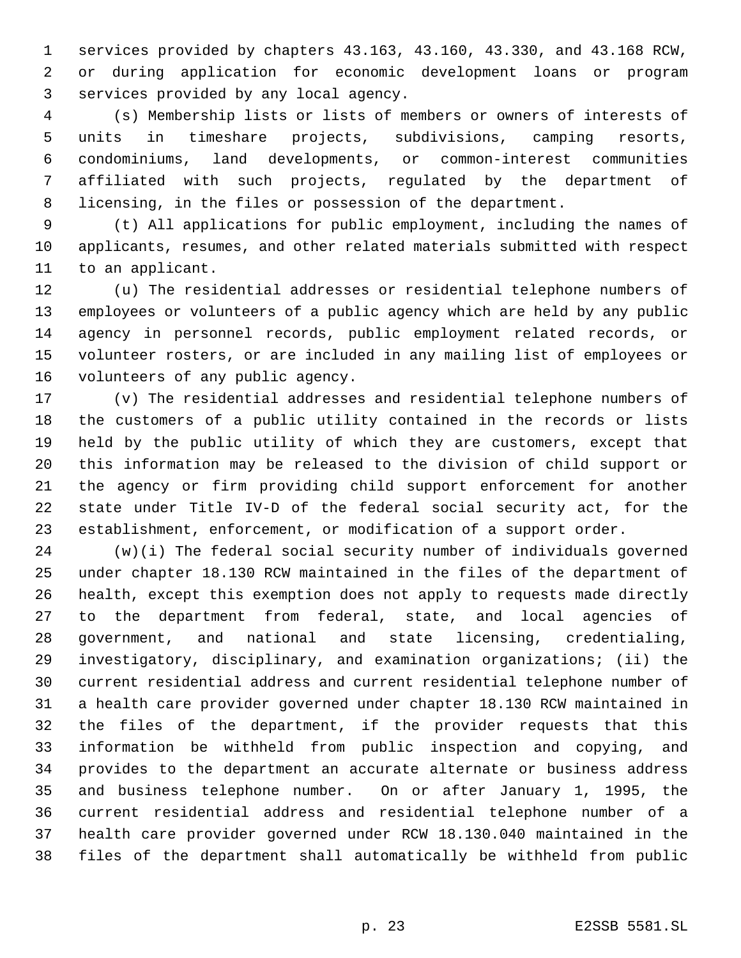services provided by chapters 43.163, 43.160, 43.330, and 43.168 RCW, or during application for economic development loans or program services provided by any local agency.

 (s) Membership lists or lists of members or owners of interests of units in timeshare projects, subdivisions, camping resorts, condominiums, land developments, or common-interest communities affiliated with such projects, regulated by the department of licensing, in the files or possession of the department.

 (t) All applications for public employment, including the names of applicants, resumes, and other related materials submitted with respect to an applicant.

 (u) The residential addresses or residential telephone numbers of employees or volunteers of a public agency which are held by any public agency in personnel records, public employment related records, or volunteer rosters, or are included in any mailing list of employees or volunteers of any public agency.

 (v) The residential addresses and residential telephone numbers of the customers of a public utility contained in the records or lists held by the public utility of which they are customers, except that this information may be released to the division of child support or the agency or firm providing child support enforcement for another state under Title IV-D of the federal social security act, for the establishment, enforcement, or modification of a support order.

 (w)(i) The federal social security number of individuals governed under chapter 18.130 RCW maintained in the files of the department of health, except this exemption does not apply to requests made directly to the department from federal, state, and local agencies of government, and national and state licensing, credentialing, investigatory, disciplinary, and examination organizations; (ii) the current residential address and current residential telephone number of a health care provider governed under chapter 18.130 RCW maintained in the files of the department, if the provider requests that this information be withheld from public inspection and copying, and provides to the department an accurate alternate or business address and business telephone number. On or after January 1, 1995, the current residential address and residential telephone number of a health care provider governed under RCW 18.130.040 maintained in the files of the department shall automatically be withheld from public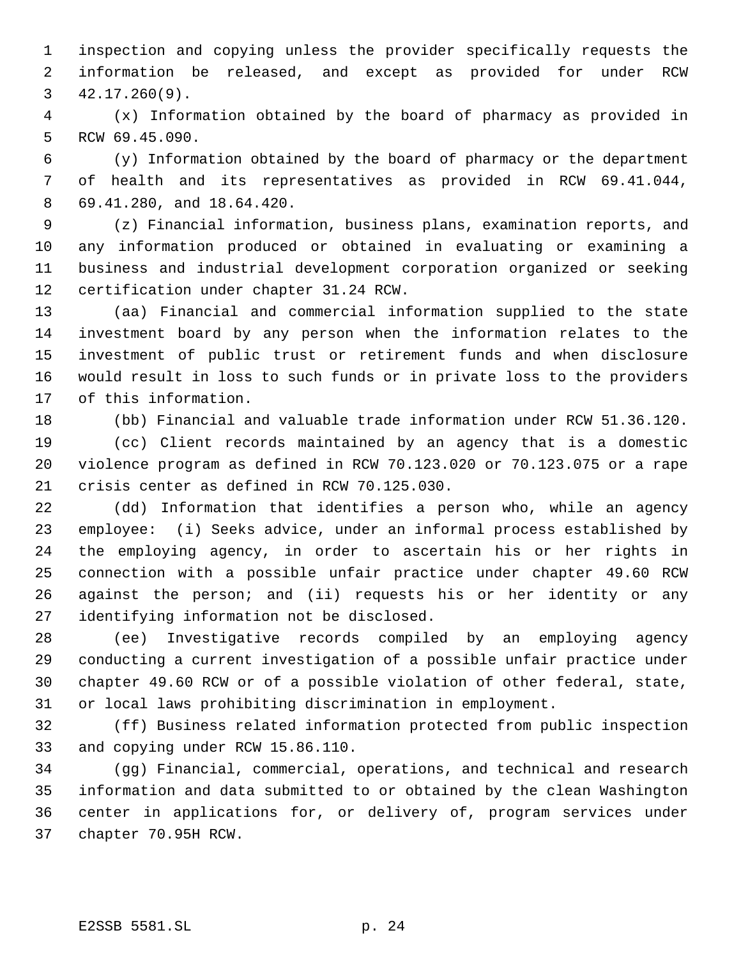inspection and copying unless the provider specifically requests the information be released, and except as provided for under RCW 42.17.260(9).

 (x) Information obtained by the board of pharmacy as provided in RCW 69.45.090.

 (y) Information obtained by the board of pharmacy or the department of health and its representatives as provided in RCW 69.41.044, 69.41.280, and 18.64.420.

 (z) Financial information, business plans, examination reports, and any information produced or obtained in evaluating or examining a business and industrial development corporation organized or seeking certification under chapter 31.24 RCW.

 (aa) Financial and commercial information supplied to the state investment board by any person when the information relates to the investment of public trust or retirement funds and when disclosure would result in loss to such funds or in private loss to the providers of this information.

(bb) Financial and valuable trade information under RCW 51.36.120.

 (cc) Client records maintained by an agency that is a domestic violence program as defined in RCW 70.123.020 or 70.123.075 or a rape crisis center as defined in RCW 70.125.030.

 (dd) Information that identifies a person who, while an agency employee: (i) Seeks advice, under an informal process established by the employing agency, in order to ascertain his or her rights in connection with a possible unfair practice under chapter 49.60 RCW against the person; and (ii) requests his or her identity or any identifying information not be disclosed.

 (ee) Investigative records compiled by an employing agency conducting a current investigation of a possible unfair practice under chapter 49.60 RCW or of a possible violation of other federal, state, or local laws prohibiting discrimination in employment.

 (ff) Business related information protected from public inspection and copying under RCW 15.86.110.

 (gg) Financial, commercial, operations, and technical and research information and data submitted to or obtained by the clean Washington center in applications for, or delivery of, program services under chapter 70.95H RCW.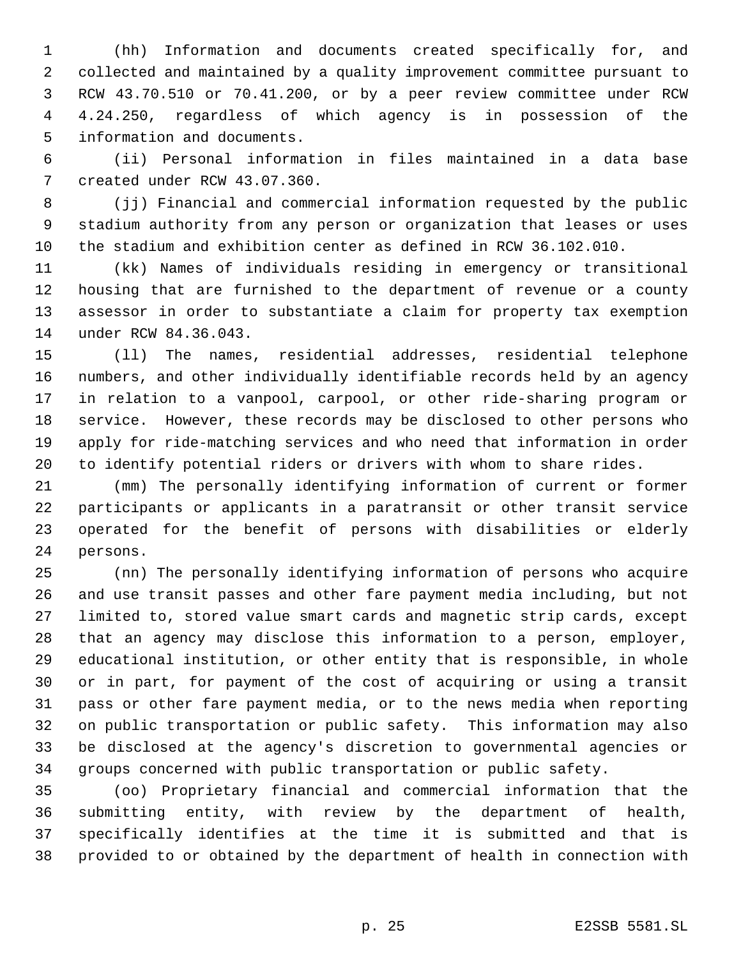(hh) Information and documents created specifically for, and collected and maintained by a quality improvement committee pursuant to RCW 43.70.510 or 70.41.200, or by a peer review committee under RCW 4.24.250, regardless of which agency is in possession of the information and documents.

 (ii) Personal information in files maintained in a data base created under RCW 43.07.360.

 (jj) Financial and commercial information requested by the public stadium authority from any person or organization that leases or uses the stadium and exhibition center as defined in RCW 36.102.010.

 (kk) Names of individuals residing in emergency or transitional housing that are furnished to the department of revenue or a county assessor in order to substantiate a claim for property tax exemption under RCW 84.36.043.

 (ll) The names, residential addresses, residential telephone numbers, and other individually identifiable records held by an agency in relation to a vanpool, carpool, or other ride-sharing program or service. However, these records may be disclosed to other persons who apply for ride-matching services and who need that information in order to identify potential riders or drivers with whom to share rides.

 (mm) The personally identifying information of current or former participants or applicants in a paratransit or other transit service operated for the benefit of persons with disabilities or elderly persons.

 (nn) The personally identifying information of persons who acquire and use transit passes and other fare payment media including, but not limited to, stored value smart cards and magnetic strip cards, except that an agency may disclose this information to a person, employer, educational institution, or other entity that is responsible, in whole or in part, for payment of the cost of acquiring or using a transit pass or other fare payment media, or to the news media when reporting on public transportation or public safety. This information may also be disclosed at the agency's discretion to governmental agencies or groups concerned with public transportation or public safety.

 (oo) Proprietary financial and commercial information that the submitting entity, with review by the department of health, specifically identifies at the time it is submitted and that is provided to or obtained by the department of health in connection with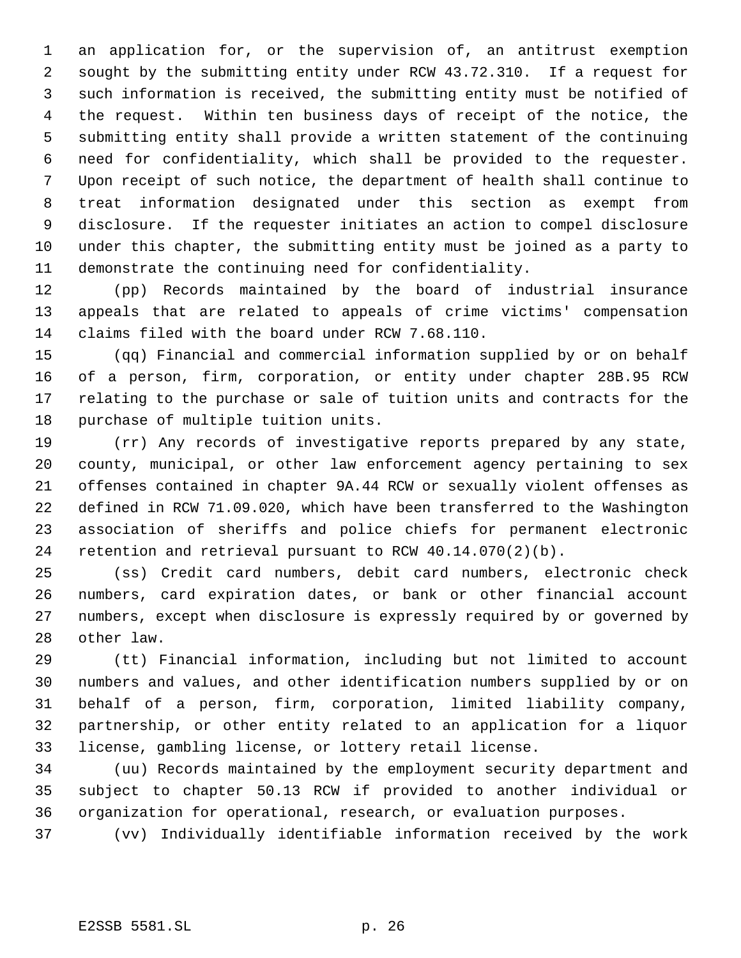an application for, or the supervision of, an antitrust exemption sought by the submitting entity under RCW 43.72.310. If a request for such information is received, the submitting entity must be notified of the request. Within ten business days of receipt of the notice, the submitting entity shall provide a written statement of the continuing need for confidentiality, which shall be provided to the requester. Upon receipt of such notice, the department of health shall continue to treat information designated under this section as exempt from disclosure. If the requester initiates an action to compel disclosure under this chapter, the submitting entity must be joined as a party to demonstrate the continuing need for confidentiality.

 (pp) Records maintained by the board of industrial insurance appeals that are related to appeals of crime victims' compensation claims filed with the board under RCW 7.68.110.

 (qq) Financial and commercial information supplied by or on behalf of a person, firm, corporation, or entity under chapter 28B.95 RCW relating to the purchase or sale of tuition units and contracts for the purchase of multiple tuition units.

 (rr) Any records of investigative reports prepared by any state, county, municipal, or other law enforcement agency pertaining to sex offenses contained in chapter 9A.44 RCW or sexually violent offenses as defined in RCW 71.09.020, which have been transferred to the Washington association of sheriffs and police chiefs for permanent electronic retention and retrieval pursuant to RCW 40.14.070(2)(b).

 (ss) Credit card numbers, debit card numbers, electronic check numbers, card expiration dates, or bank or other financial account numbers, except when disclosure is expressly required by or governed by other law.

 (tt) Financial information, including but not limited to account numbers and values, and other identification numbers supplied by or on behalf of a person, firm, corporation, limited liability company, partnership, or other entity related to an application for a liquor license, gambling license, or lottery retail license.

 (uu) Records maintained by the employment security department and subject to chapter 50.13 RCW if provided to another individual or organization for operational, research, or evaluation purposes.

(vv) Individually identifiable information received by the work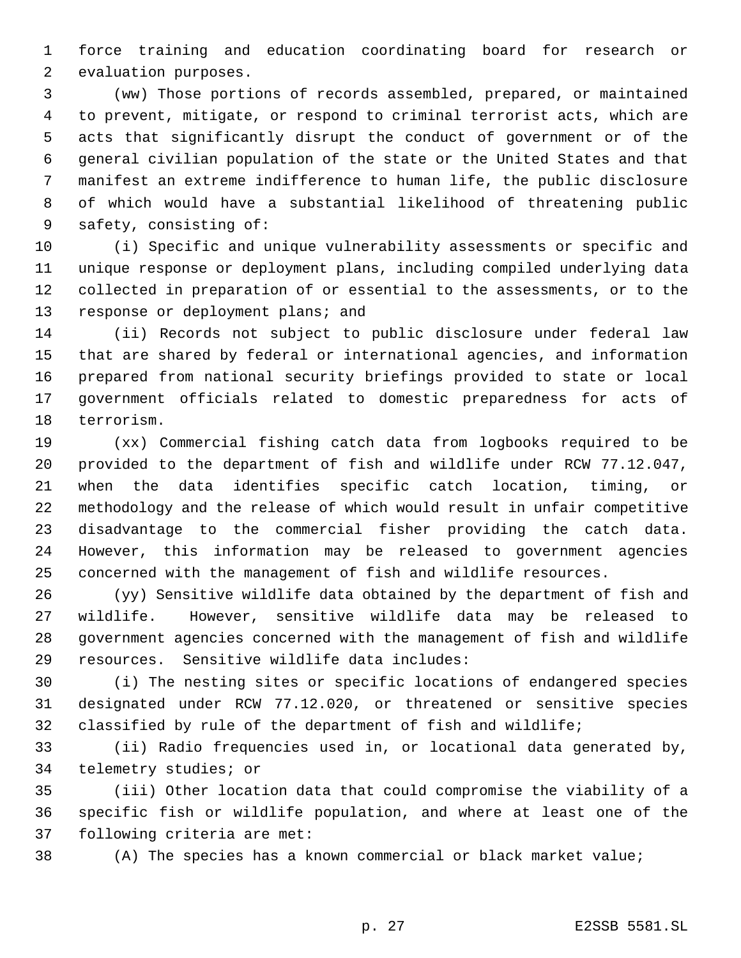force training and education coordinating board for research or evaluation purposes.

 (ww) Those portions of records assembled, prepared, or maintained to prevent, mitigate, or respond to criminal terrorist acts, which are acts that significantly disrupt the conduct of government or of the general civilian population of the state or the United States and that manifest an extreme indifference to human life, the public disclosure of which would have a substantial likelihood of threatening public safety, consisting of:

 (i) Specific and unique vulnerability assessments or specific and unique response or deployment plans, including compiled underlying data collected in preparation of or essential to the assessments, or to the 13 response or deployment plans; and

 (ii) Records not subject to public disclosure under federal law that are shared by federal or international agencies, and information prepared from national security briefings provided to state or local government officials related to domestic preparedness for acts of terrorism.

 (xx) Commercial fishing catch data from logbooks required to be provided to the department of fish and wildlife under RCW 77.12.047, when the data identifies specific catch location, timing, or methodology and the release of which would result in unfair competitive disadvantage to the commercial fisher providing the catch data. However, this information may be released to government agencies concerned with the management of fish and wildlife resources.

 (yy) Sensitive wildlife data obtained by the department of fish and wildlife. However, sensitive wildlife data may be released to government agencies concerned with the management of fish and wildlife resources. Sensitive wildlife data includes:

 (i) The nesting sites or specific locations of endangered species designated under RCW 77.12.020, or threatened or sensitive species classified by rule of the department of fish and wildlife;

 (ii) Radio frequencies used in, or locational data generated by, telemetry studies; or

 (iii) Other location data that could compromise the viability of a specific fish or wildlife population, and where at least one of the following criteria are met:

(A) The species has a known commercial or black market value;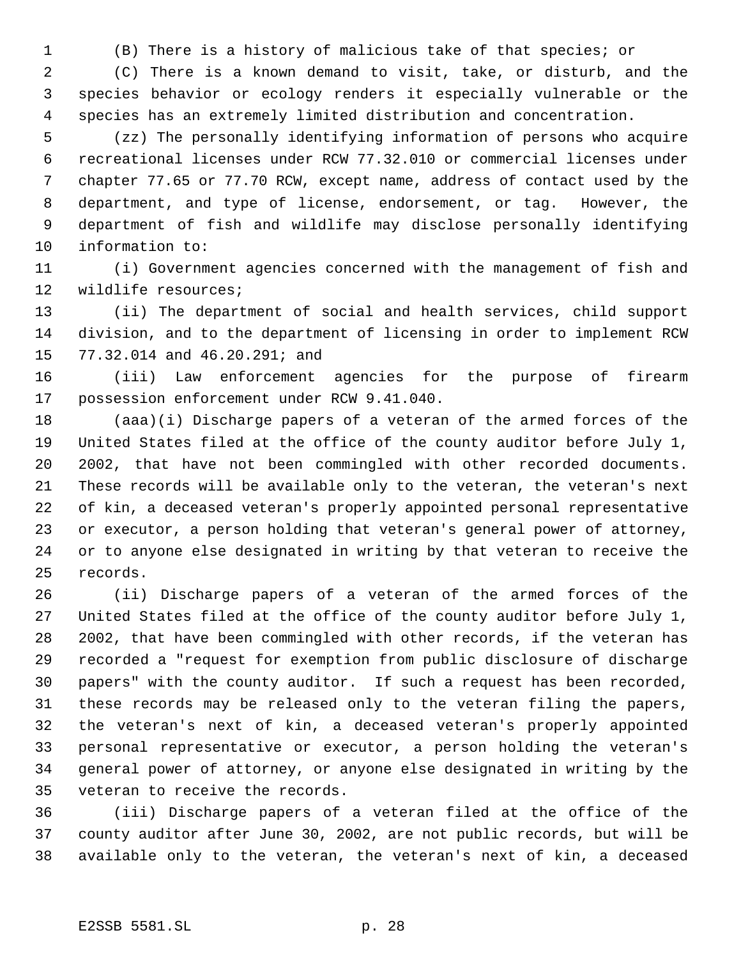(B) There is a history of malicious take of that species; or

 (C) There is a known demand to visit, take, or disturb, and the species behavior or ecology renders it especially vulnerable or the species has an extremely limited distribution and concentration.

 (zz) The personally identifying information of persons who acquire recreational licenses under RCW 77.32.010 or commercial licenses under chapter 77.65 or 77.70 RCW, except name, address of contact used by the department, and type of license, endorsement, or tag. However, the department of fish and wildlife may disclose personally identifying information to:

 (i) Government agencies concerned with the management of fish and wildlife resources;

 (ii) The department of social and health services, child support division, and to the department of licensing in order to implement RCW 77.32.014 and 46.20.291; and

 (iii) Law enforcement agencies for the purpose of firearm possession enforcement under RCW 9.41.040.

 (aaa)(i) Discharge papers of a veteran of the armed forces of the United States filed at the office of the county auditor before July 1, 2002, that have not been commingled with other recorded documents. These records will be available only to the veteran, the veteran's next of kin, a deceased veteran's properly appointed personal representative or executor, a person holding that veteran's general power of attorney, or to anyone else designated in writing by that veteran to receive the records.

 (ii) Discharge papers of a veteran of the armed forces of the United States filed at the office of the county auditor before July 1, 2002, that have been commingled with other records, if the veteran has recorded a "request for exemption from public disclosure of discharge papers" with the county auditor. If such a request has been recorded, these records may be released only to the veteran filing the papers, the veteran's next of kin, a deceased veteran's properly appointed personal representative or executor, a person holding the veteran's general power of attorney, or anyone else designated in writing by the veteran to receive the records.

 (iii) Discharge papers of a veteran filed at the office of the county auditor after June 30, 2002, are not public records, but will be available only to the veteran, the veteran's next of kin, a deceased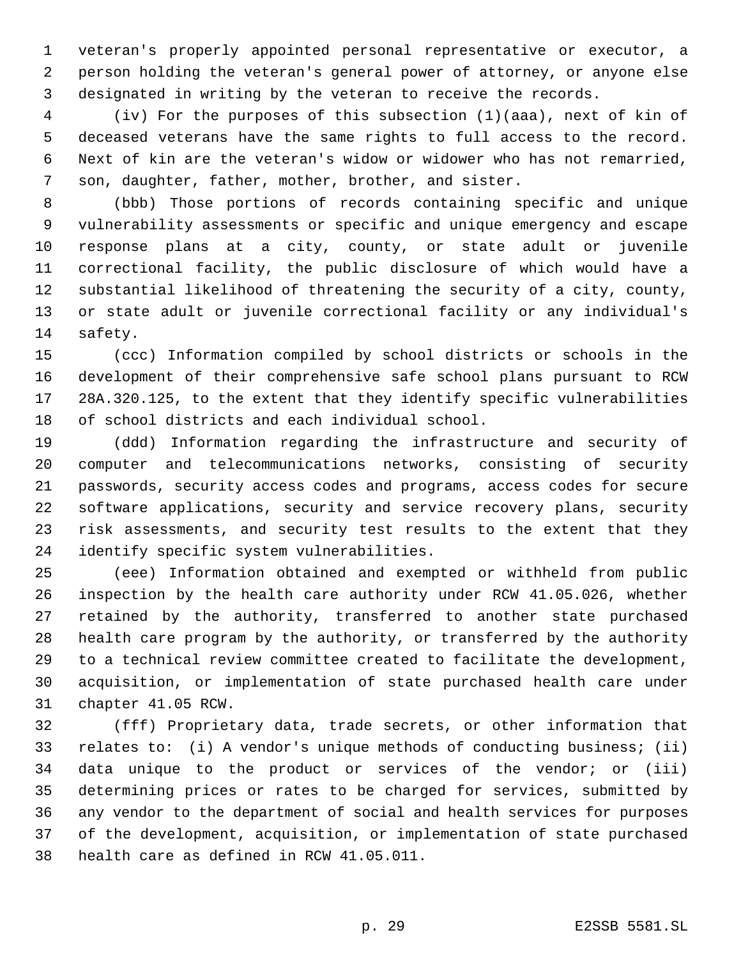veteran's properly appointed personal representative or executor, a person holding the veteran's general power of attorney, or anyone else designated in writing by the veteran to receive the records.

 (iv) For the purposes of this subsection (1)(aaa), next of kin of deceased veterans have the same rights to full access to the record. Next of kin are the veteran's widow or widower who has not remarried, son, daughter, father, mother, brother, and sister.

 (bbb) Those portions of records containing specific and unique vulnerability assessments or specific and unique emergency and escape response plans at a city, county, or state adult or juvenile correctional facility, the public disclosure of which would have a substantial likelihood of threatening the security of a city, county, or state adult or juvenile correctional facility or any individual's safety.

 (ccc) Information compiled by school districts or schools in the development of their comprehensive safe school plans pursuant to RCW 28A.320.125, to the extent that they identify specific vulnerabilities of school districts and each individual school.

 (ddd) Information regarding the infrastructure and security of computer and telecommunications networks, consisting of security passwords, security access codes and programs, access codes for secure software applications, security and service recovery plans, security risk assessments, and security test results to the extent that they identify specific system vulnerabilities.

 (eee) Information obtained and exempted or withheld from public inspection by the health care authority under RCW 41.05.026, whether retained by the authority, transferred to another state purchased health care program by the authority, or transferred by the authority to a technical review committee created to facilitate the development, acquisition, or implementation of state purchased health care under chapter 41.05 RCW.

 (fff) Proprietary data, trade secrets, or other information that relates to: (i) A vendor's unique methods of conducting business; (ii) data unique to the product or services of the vendor; or (iii) determining prices or rates to be charged for services, submitted by any vendor to the department of social and health services for purposes of the development, acquisition, or implementation of state purchased health care as defined in RCW 41.05.011.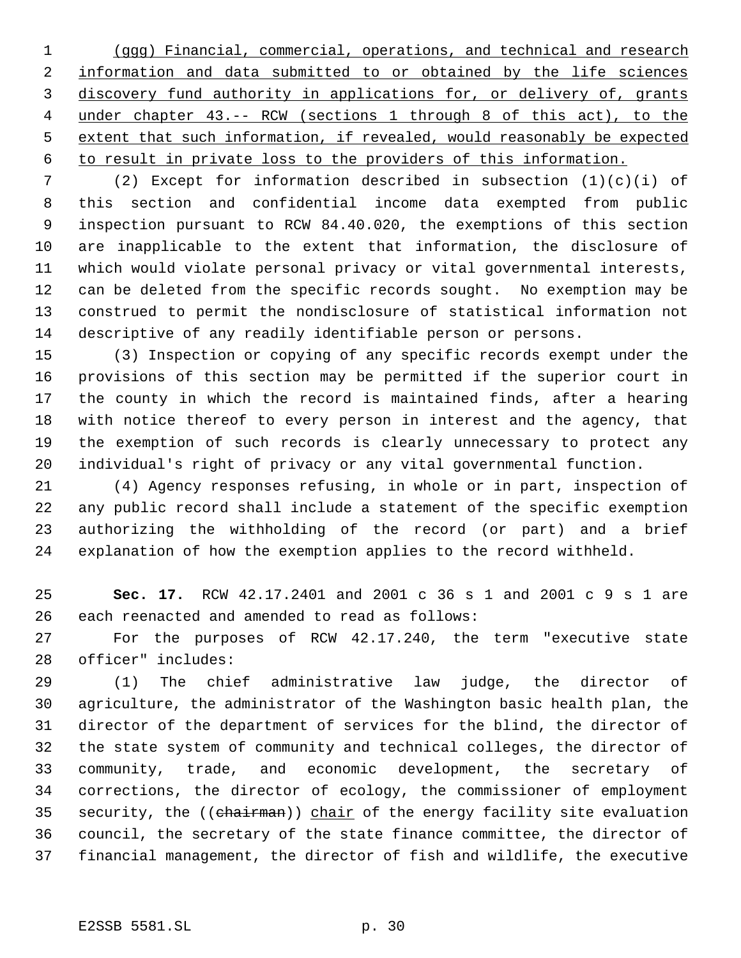(ggg) Financial, commercial, operations, and technical and research 2 information and data submitted to or obtained by the life sciences 3 discovery fund authority in applications for, or delivery of, grants under chapter 43.-- RCW (sections 1 through 8 of this act), to the extent that such information, if revealed, would reasonably be expected to result in private loss to the providers of this information.

 (2) Except for information described in subsection (1)(c)(i) of this section and confidential income data exempted from public inspection pursuant to RCW 84.40.020, the exemptions of this section are inapplicable to the extent that information, the disclosure of which would violate personal privacy or vital governmental interests, can be deleted from the specific records sought. No exemption may be construed to permit the nondisclosure of statistical information not descriptive of any readily identifiable person or persons.

 (3) Inspection or copying of any specific records exempt under the provisions of this section may be permitted if the superior court in the county in which the record is maintained finds, after a hearing with notice thereof to every person in interest and the agency, that the exemption of such records is clearly unnecessary to protect any individual's right of privacy or any vital governmental function.

 (4) Agency responses refusing, in whole or in part, inspection of any public record shall include a statement of the specific exemption authorizing the withholding of the record (or part) and a brief explanation of how the exemption applies to the record withheld.

 **Sec. 17.** RCW 42.17.2401 and 2001 c 36 s 1 and 2001 c 9 s 1 are each reenacted and amended to read as follows:

 For the purposes of RCW 42.17.240, the term "executive state officer" includes:

 (1) The chief administrative law judge, the director of agriculture, the administrator of the Washington basic health plan, the director of the department of services for the blind, the director of the state system of community and technical colleges, the director of community, trade, and economic development, the secretary of corrections, the director of ecology, the commissioner of employment 35 security, the ((chairman)) chair of the energy facility site evaluation council, the secretary of the state finance committee, the director of financial management, the director of fish and wildlife, the executive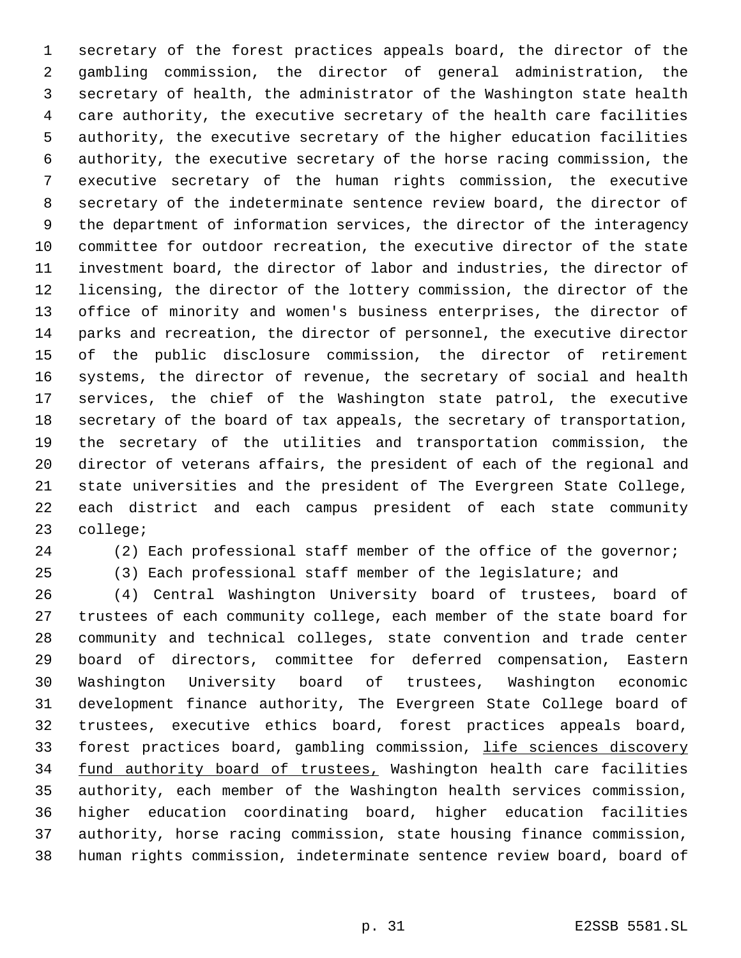secretary of the forest practices appeals board, the director of the gambling commission, the director of general administration, the secretary of health, the administrator of the Washington state health care authority, the executive secretary of the health care facilities authority, the executive secretary of the higher education facilities authority, the executive secretary of the horse racing commission, the executive secretary of the human rights commission, the executive secretary of the indeterminate sentence review board, the director of the department of information services, the director of the interagency committee for outdoor recreation, the executive director of the state investment board, the director of labor and industries, the director of licensing, the director of the lottery commission, the director of the office of minority and women's business enterprises, the director of parks and recreation, the director of personnel, the executive director of the public disclosure commission, the director of retirement systems, the director of revenue, the secretary of social and health services, the chief of the Washington state patrol, the executive secretary of the board of tax appeals, the secretary of transportation, the secretary of the utilities and transportation commission, the director of veterans affairs, the president of each of the regional and state universities and the president of The Evergreen State College, each district and each campus president of each state community college;

(2) Each professional staff member of the office of the governor;

(3) Each professional staff member of the legislature; and

 (4) Central Washington University board of trustees, board of trustees of each community college, each member of the state board for community and technical colleges, state convention and trade center board of directors, committee for deferred compensation, Eastern Washington University board of trustees, Washington economic development finance authority, The Evergreen State College board of trustees, executive ethics board, forest practices appeals board, 33 forest practices board, gambling commission, life sciences discovery 34 fund authority board of trustees, Washington health care facilities authority, each member of the Washington health services commission, higher education coordinating board, higher education facilities authority, horse racing commission, state housing finance commission, human rights commission, indeterminate sentence review board, board of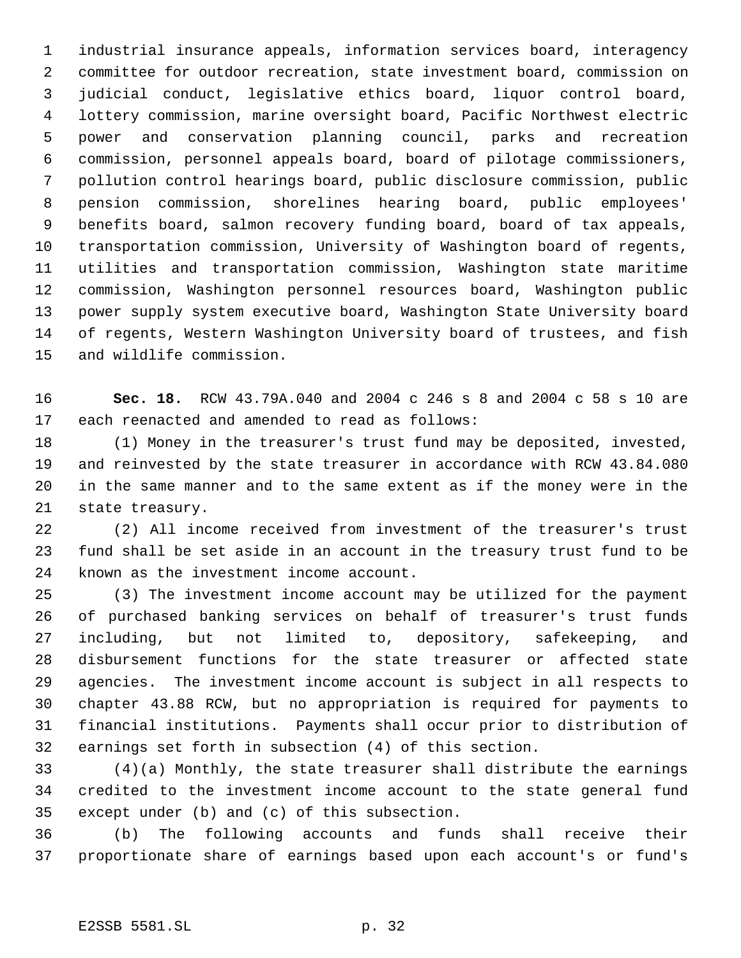industrial insurance appeals, information services board, interagency committee for outdoor recreation, state investment board, commission on judicial conduct, legislative ethics board, liquor control board, lottery commission, marine oversight board, Pacific Northwest electric power and conservation planning council, parks and recreation commission, personnel appeals board, board of pilotage commissioners, pollution control hearings board, public disclosure commission, public pension commission, shorelines hearing board, public employees' benefits board, salmon recovery funding board, board of tax appeals, transportation commission, University of Washington board of regents, utilities and transportation commission, Washington state maritime commission, Washington personnel resources board, Washington public power supply system executive board, Washington State University board of regents, Western Washington University board of trustees, and fish and wildlife commission.

 **Sec. 18.** RCW 43.79A.040 and 2004 c 246 s 8 and 2004 c 58 s 10 are each reenacted and amended to read as follows:

 (1) Money in the treasurer's trust fund may be deposited, invested, and reinvested by the state treasurer in accordance with RCW 43.84.080 in the same manner and to the same extent as if the money were in the state treasury.

 (2) All income received from investment of the treasurer's trust fund shall be set aside in an account in the treasury trust fund to be known as the investment income account.

 (3) The investment income account may be utilized for the payment of purchased banking services on behalf of treasurer's trust funds including, but not limited to, depository, safekeeping, and disbursement functions for the state treasurer or affected state agencies. The investment income account is subject in all respects to chapter 43.88 RCW, but no appropriation is required for payments to financial institutions. Payments shall occur prior to distribution of earnings set forth in subsection (4) of this section.

 (4)(a) Monthly, the state treasurer shall distribute the earnings credited to the investment income account to the state general fund except under (b) and (c) of this subsection.

 (b) The following accounts and funds shall receive their proportionate share of earnings based upon each account's or fund's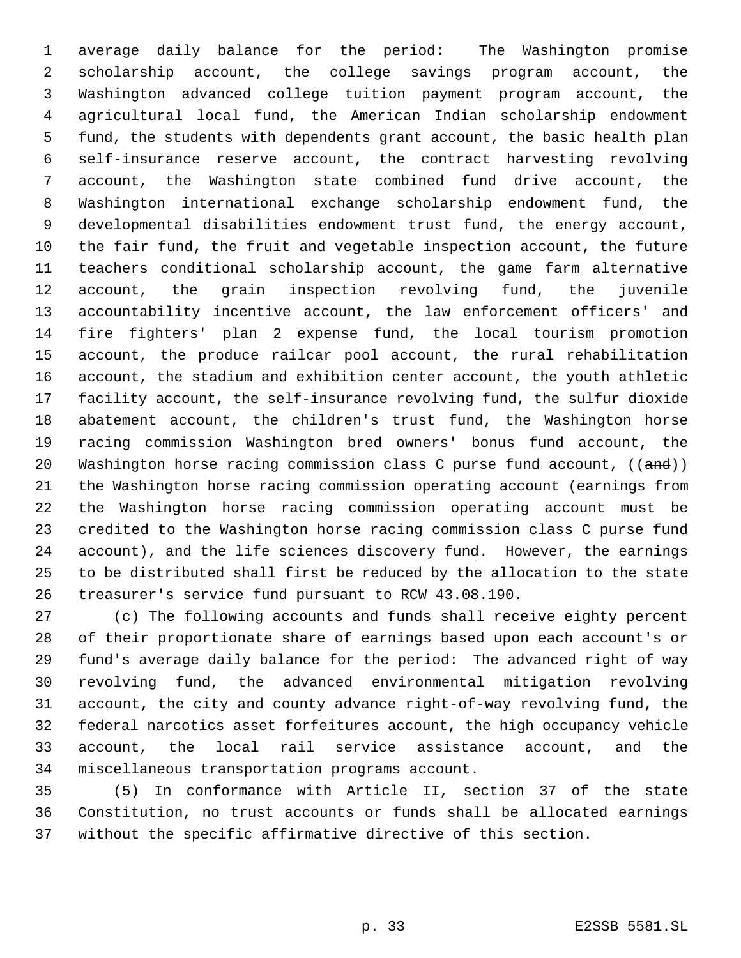average daily balance for the period: The Washington promise scholarship account, the college savings program account, the Washington advanced college tuition payment program account, the agricultural local fund, the American Indian scholarship endowment fund, the students with dependents grant account, the basic health plan self-insurance reserve account, the contract harvesting revolving account, the Washington state combined fund drive account, the Washington international exchange scholarship endowment fund, the developmental disabilities endowment trust fund, the energy account, the fair fund, the fruit and vegetable inspection account, the future teachers conditional scholarship account, the game farm alternative account, the grain inspection revolving fund, the juvenile accountability incentive account, the law enforcement officers' and fire fighters' plan 2 expense fund, the local tourism promotion account, the produce railcar pool account, the rural rehabilitation account, the stadium and exhibition center account, the youth athletic facility account, the self-insurance revolving fund, the sulfur dioxide abatement account, the children's trust fund, the Washington horse racing commission Washington bred owners' bonus fund account, the 20 Washington horse racing commission class C purse fund account, ((and)) the Washington horse racing commission operating account (earnings from the Washington horse racing commission operating account must be credited to the Washington horse racing commission class C purse fund 24 account), and the life sciences discovery fund. However, the earnings to be distributed shall first be reduced by the allocation to the state treasurer's service fund pursuant to RCW 43.08.190.

 (c) The following accounts and funds shall receive eighty percent of their proportionate share of earnings based upon each account's or fund's average daily balance for the period: The advanced right of way revolving fund, the advanced environmental mitigation revolving account, the city and county advance right-of-way revolving fund, the federal narcotics asset forfeitures account, the high occupancy vehicle account, the local rail service assistance account, and the miscellaneous transportation programs account.

 (5) In conformance with Article II, section 37 of the state Constitution, no trust accounts or funds shall be allocated earnings without the specific affirmative directive of this section.